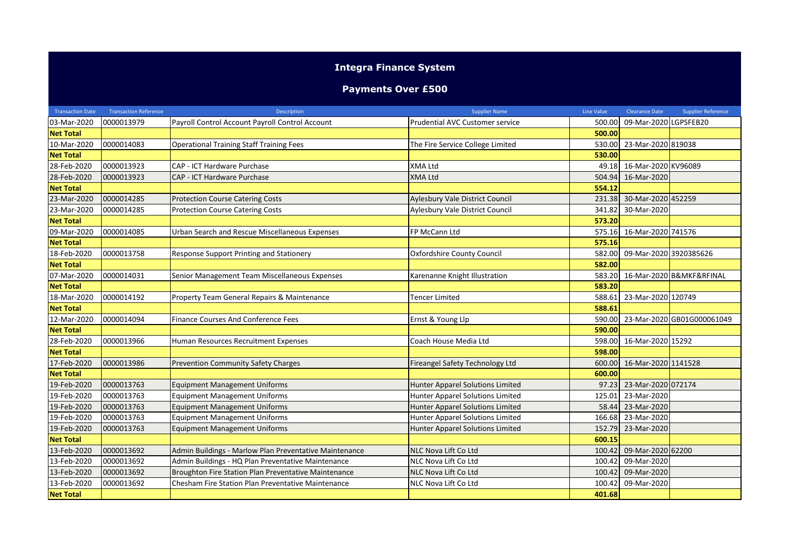## **Integra Finance System**

## **Payments Over £500**

| <b>Transaction Date</b> | <b>Transaction Reference</b> | Description                                            | <b>Supplier Name</b>                    | Line Value | <b>Clearance Date</b>      | <b>Supplier Reference</b>  |
|-------------------------|------------------------------|--------------------------------------------------------|-----------------------------------------|------------|----------------------------|----------------------------|
| 03-Mar-2020             | 0000013979                   | Payroll Control Account Payroll Control Account        | Prudential AVC Customer service         | 500.00     | 09-Mar-2020 LGPSFEB20      |                            |
| <b>Net Total</b>        |                              |                                                        |                                         | 500.00     |                            |                            |
| 10-Mar-2020             | 0000014083                   | <b>Operational Training Staff Training Fees</b>        | The Fire Service College Limited        | 530.00     | 23-Mar-2020 819038         |                            |
| <b>Net Total</b>        |                              |                                                        |                                         | 530.00     |                            |                            |
| 28-Feb-2020             | 0000013923                   | CAP - ICT Hardware Purchase                            | <b>XMA Ltd</b>                          | 49.18      | 16-Mar-2020 KV96089        |                            |
| 28-Feb-2020             | 0000013923                   | CAP - ICT Hardware Purchase                            | <b>XMA Ltd</b>                          | 504.94     | 16-Mar-2020                |                            |
| <b>Net Total</b>        |                              |                                                        |                                         | 554.12     |                            |                            |
| 23-Mar-2020             | 0000014285                   | <b>Protection Course Catering Costs</b>                | Aylesbury Vale District Council         | 231.38     | 30-Mar-2020 452259         |                            |
| 23-Mar-2020             | 0000014285                   | <b>Protection Course Catering Costs</b>                | Aylesbury Vale District Council         | 341.82     | 30-Mar-2020                |                            |
| <b>Net Total</b>        |                              |                                                        |                                         | 573.20     |                            |                            |
| 09-Mar-2020             | 0000014085                   | Urban Search and Rescue Miscellaneous Expenses         | FP McCann Ltd                           | 575.16     | 16-Mar-2020 741576         |                            |
| <b>Net Total</b>        |                              |                                                        |                                         | 575.16     |                            |                            |
| 18-Feb-2020             | 0000013758                   | Response Support Printing and Stationery               | Oxfordshire County Council              | 582.00     | 09-Mar-2020 3920385626     |                            |
| <b>Net Total</b>        |                              |                                                        |                                         | 582.00     |                            |                            |
| 07-Mar-2020             | 0000014031                   | Senior Management Team Miscellaneous Expenses          | Karenanne Knight Illustration           | 583.20     |                            | 16-Mar-2020 B&MKF&RFINAL   |
| <b>Net Total</b>        |                              |                                                        |                                         | 583.20     |                            |                            |
| 18-Mar-2020             | 0000014192                   | Property Team General Repairs & Maintenance            | <b>Tencer Limited</b>                   | 588.61     | 23-Mar-2020 120749         |                            |
| <b>Net Total</b>        |                              |                                                        |                                         | 588.61     |                            |                            |
| 12-Mar-2020             | 0000014094                   | <b>Finance Courses And Conference Fees</b>             | Ernst & Young Llp                       | 590.00     |                            | 23-Mar-2020 GB01G000061049 |
| <b>Net Total</b>        |                              |                                                        |                                         | 590.00     |                            |                            |
| 28-Feb-2020             | 0000013966                   | Human Resources Recruitment Expenses                   | Coach House Media Ltd                   | 598.00     | 16-Mar-2020 15292          |                            |
| <b>Net Total</b>        |                              |                                                        |                                         | 598.00     |                            |                            |
| 17-Feb-2020             | 0000013986                   | <b>Prevention Community Safety Charges</b>             | Fireangel Safety Technology Ltd         |            | 600.00 16-Mar-2020 1141528 |                            |
| <b>Net Total</b>        |                              |                                                        |                                         | 600.00     |                            |                            |
| 19-Feb-2020             | 0000013763                   | <b>Equipment Management Uniforms</b>                   | Hunter Apparel Solutions Limited        | 97.23      | 23-Mar-2020 072174         |                            |
| 19-Feb-2020             | 0000013763                   | <b>Equipment Management Uniforms</b>                   | Hunter Apparel Solutions Limited        | 125.01     | 23-Mar-2020                |                            |
| 19-Feb-2020             | 0000013763                   | <b>Equipment Management Uniforms</b>                   | <b>Hunter Apparel Solutions Limited</b> | 58.44      | 23-Mar-2020                |                            |
| 19-Feb-2020             | 0000013763                   | <b>Equipment Management Uniforms</b>                   | Hunter Apparel Solutions Limited        | 166.68     | 23-Mar-2020                |                            |
| 19-Feb-2020             | 0000013763                   | <b>Equipment Management Uniforms</b>                   | <b>Hunter Apparel Solutions Limited</b> | 152.79     | 23-Mar-2020                |                            |
| <b>Net Total</b>        |                              |                                                        |                                         | 600.15     |                            |                            |
| 13-Feb-2020             | 0000013692                   | Admin Buildings - Marlow Plan Preventative Maintenance | <b>NLC Nova Lift Co Ltd</b>             | 100.42     | 09-Mar-2020 62200          |                            |
| 13-Feb-2020             | 0000013692                   | Admin Buildings - HQ Plan Preventative Maintenance     | NLC Nova Lift Co Ltd                    | 100.42     | 09-Mar-2020                |                            |
| 13-Feb-2020             | 0000013692                   | Broughton Fire Station Plan Preventative Maintenance   | NLC Nova Lift Co Ltd                    | 100.4      | 09-Mar-2020                |                            |
| 13-Feb-2020             | 0000013692                   | Chesham Fire Station Plan Preventative Maintenance     | NLC Nova Lift Co Ltd                    | 100.42     | 09-Mar-2020                |                            |
| <b>Net Total</b>        |                              |                                                        |                                         | 401.68     |                            |                            |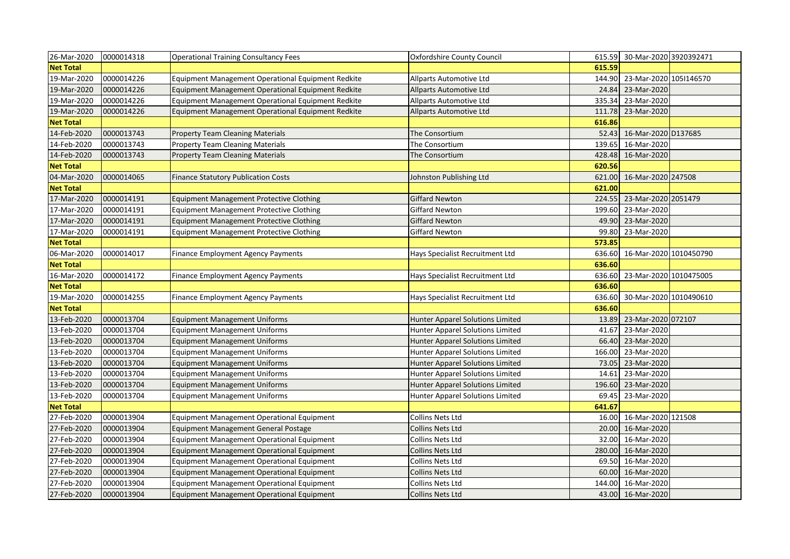| 26-Mar-2020      | 0000014318 | Operational Training Consultancy Fees              | <b>Oxfordshire County Council</b>       |        | 615.59 30-Mar-2020 3920392471 |  |
|------------------|------------|----------------------------------------------------|-----------------------------------------|--------|-------------------------------|--|
| <b>Net Total</b> |            |                                                    |                                         | 615.59 |                               |  |
| 19-Mar-2020      | 0000014226 | Equipment Management Operational Equipment Redkite | Allparts Automotive Ltd                 | 144.90 | 23-Mar-2020 105I146570        |  |
| 19-Mar-2020      | 0000014226 | Equipment Management Operational Equipment Redkite | <b>Allparts Automotive Ltd</b>          | 24.84  | 23-Mar-2020                   |  |
| 19-Mar-2020      | 0000014226 | Equipment Management Operational Equipment Redkite | Allparts Automotive Ltd                 | 335.34 | 23-Mar-2020                   |  |
| 19-Mar-2020      | 0000014226 | Equipment Management Operational Equipment Redkite | Allparts Automotive Ltd                 | 111.78 | 23-Mar-2020                   |  |
| <b>Net Total</b> |            |                                                    |                                         | 616.86 |                               |  |
| 14-Feb-2020      | 0000013743 | <b>Property Team Cleaning Materials</b>            | The Consortium                          | 52.43  | 16-Mar-2020 D137685           |  |
| 14-Feb-2020      | 0000013743 | <b>Property Team Cleaning Materials</b>            | The Consortium                          | 139.65 | 16-Mar-2020                   |  |
| 14-Feb-2020      | 0000013743 | <b>Property Team Cleaning Materials</b>            | The Consortium                          | 428.48 | 16-Mar-2020                   |  |
| <b>Net Total</b> |            |                                                    |                                         | 620.56 |                               |  |
| 04-Mar-2020      | 0000014065 | <b>Finance Statutory Publication Costs</b>         | Johnston Publishing Ltd                 | 621.00 | 16-Mar-2020 247508            |  |
| <b>Net Total</b> |            |                                                    |                                         | 621.00 |                               |  |
| 17-Mar-2020      | 0000014191 | <b>Equipment Management Protective Clothing</b>    | <b>Giffard Newton</b>                   | 224.55 | 23-Mar-2020 2051479           |  |
| 17-Mar-2020      | 0000014191 | <b>Equipment Management Protective Clothing</b>    | <b>Giffard Newton</b>                   | 199.60 | 23-Mar-2020                   |  |
| 17-Mar-2020      | 0000014191 | Equipment Management Protective Clothing           | <b>Giffard Newton</b>                   | 49.90  | 23-Mar-2020                   |  |
| 17-Mar-2020      | 0000014191 | <b>Equipment Management Protective Clothing</b>    | Giffard Newton                          | 99.80  | 23-Mar-2020                   |  |
| <b>Net Total</b> |            |                                                    |                                         | 573.85 |                               |  |
| 06-Mar-2020      | 0000014017 | Finance Employment Agency Payments                 | Hays Specialist Recruitment Ltd         | 636.60 | 16-Mar-2020 1010450790        |  |
| <b>Net Total</b> |            |                                                    |                                         | 636.60 |                               |  |
| 16-Mar-2020      | 0000014172 | Finance Employment Agency Payments                 | Hays Specialist Recruitment Ltd         | 636.60 | 23-Mar-2020 1010475005        |  |
| <b>Net Total</b> |            |                                                    |                                         | 636.60 |                               |  |
| 19-Mar-2020      | 0000014255 | Finance Employment Agency Payments                 | Hays Specialist Recruitment Ltd         | 636.60 | 30-Mar-2020 1010490610        |  |
| <b>Net Total</b> |            |                                                    |                                         | 636.60 |                               |  |
| 13-Feb-2020      | 0000013704 | <b>Equipment Management Uniforms</b>               | Hunter Apparel Solutions Limited        | 13.89  | 23-Mar-2020 072107            |  |
| 13-Feb-2020      | 0000013704 | <b>Equipment Management Uniforms</b>               | Hunter Apparel Solutions Limited        | 41.67  | 23-Mar-2020                   |  |
| 13-Feb-2020      | 0000013704 | <b>Equipment Management Uniforms</b>               | Hunter Apparel Solutions Limited        | 66.40  | 23-Mar-2020                   |  |
| 13-Feb-2020      | 0000013704 | <b>Equipment Management Uniforms</b>               | <b>Hunter Apparel Solutions Limited</b> | 166.00 | 23-Mar-2020                   |  |
| 13-Feb-2020      | 0000013704 | <b>Equipment Management Uniforms</b>               | Hunter Apparel Solutions Limited        | 73.05  | 23-Mar-2020                   |  |
| 13-Feb-2020      | 0000013704 | <b>Equipment Management Uniforms</b>               | Hunter Apparel Solutions Limited        | 14.61  | 23-Mar-2020                   |  |
| 13-Feb-2020      | 0000013704 | <b>Equipment Management Uniforms</b>               | Hunter Apparel Solutions Limited        | 196.60 | 23-Mar-2020                   |  |
| 13-Feb-2020      | 0000013704 | <b>Equipment Management Uniforms</b>               | Hunter Apparel Solutions Limited        | 69.45  | 23-Mar-2020                   |  |
| <b>Net Total</b> |            |                                                    |                                         | 641.67 |                               |  |
| 27-Feb-2020      | 0000013904 | <b>Equipment Management Operational Equipment</b>  | Collins Nets Ltd                        | 16.00  | 16-Mar-2020 121508            |  |
| 27-Feb-2020      | 0000013904 | <b>Equipment Management General Postage</b>        | Collins Nets Ltd                        | 20.00  | 16-Mar-2020                   |  |
| 27-Feb-2020      | 0000013904 | Equipment Management Operational Equipment         | Collins Nets Ltd                        | 32.00  | 16-Mar-2020                   |  |
| 27-Feb-2020      | 0000013904 | Equipment Management Operational Equipment         | <b>Collins Nets Ltd</b>                 | 280.00 | 16-Mar-2020                   |  |
| 27-Feb-2020      | 0000013904 | Equipment Management Operational Equipment         | Collins Nets Ltd                        | 69.50  | 16-Mar-2020                   |  |
| 27-Feb-2020      | 0000013904 | Equipment Management Operational Equipment         | <b>Collins Nets Ltd</b>                 | 60.00  | 16-Mar-2020                   |  |
| 27-Feb-2020      | 0000013904 | Equipment Management Operational Equipment         | Collins Nets Ltd                        | 144.00 | 16-Mar-2020                   |  |
| 27-Feb-2020      | 0000013904 | Equipment Management Operational Equipment         | Collins Nets Ltd                        |        | 43.00 16-Mar-2020             |  |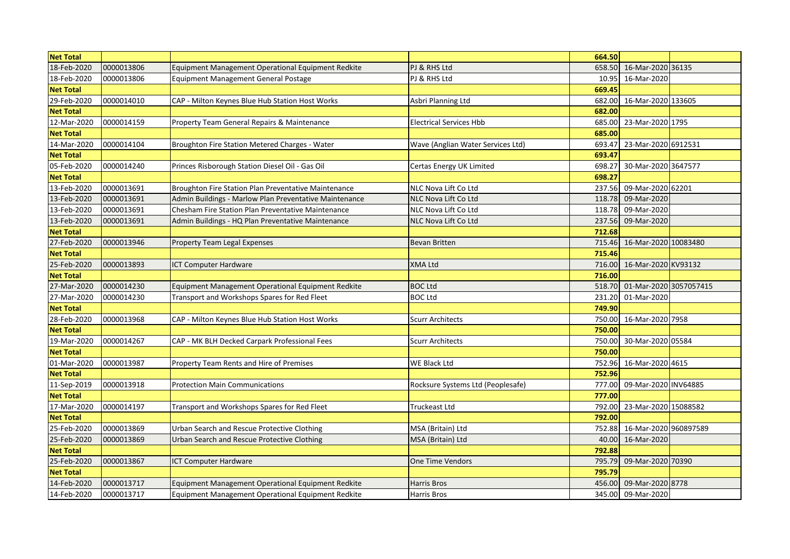| <b>Net Total</b> |            |                                                        |                                   | 664.50 |                        |  |
|------------------|------------|--------------------------------------------------------|-----------------------------------|--------|------------------------|--|
| 18-Feb-2020      | 0000013806 | Equipment Management Operational Equipment Redkite     | PJ & RHS Ltd                      | 658.50 | 16-Mar-2020 36135      |  |
| 18-Feb-2020      | 0000013806 | Equipment Management General Postage                   | PJ & RHS Ltd                      | 10.95  | 16-Mar-2020            |  |
| <b>Net Total</b> |            |                                                        |                                   | 669.45 |                        |  |
| 29-Feb-2020      | 0000014010 | CAP - Milton Keynes Blue Hub Station Host Works        | Asbri Planning Ltd                | 682.00 | 16-Mar-2020 133605     |  |
| <b>Net Total</b> |            |                                                        |                                   | 682.00 |                        |  |
| 12-Mar-2020      | 0000014159 | Property Team General Repairs & Maintenance            | <b>Electrical Services Hbb</b>    | 685.00 | 23-Mar-2020 1795       |  |
| <b>Net Total</b> |            |                                                        |                                   | 685.00 |                        |  |
| 14-Mar-2020      | 0000014104 | Broughton Fire Station Metered Charges - Water         | Wave (Anglian Water Services Ltd) | 693.47 | 23-Mar-2020 6912531    |  |
| <b>Net Total</b> |            |                                                        |                                   | 693.47 |                        |  |
| 05-Feb-2020      | 0000014240 | Princes Risborough Station Diesel Oil - Gas Oil        | Certas Energy UK Limited          | 698.27 | 30-Mar-2020 3647577    |  |
| <b>Net Total</b> |            |                                                        |                                   | 698.27 |                        |  |
| 13-Feb-2020      | 0000013691 | Broughton Fire Station Plan Preventative Maintenance   | NLC Nova Lift Co Ltd              | 237.56 | 09-Mar-2020 62201      |  |
| 13-Feb-2020      | 0000013691 | Admin Buildings - Marlow Plan Preventative Maintenance | NLC Nova Lift Co Ltd              | 118.78 | 09-Mar-2020            |  |
| 13-Feb-2020      | 0000013691 | Chesham Fire Station Plan Preventative Maintenance     | NLC Nova Lift Co Ltd              | 118.78 | 09-Mar-2020            |  |
| 13-Feb-2020      | 0000013691 | Admin Buildings - HQ Plan Preventative Maintenance     | NLC Nova Lift Co Ltd              | 237.56 | 09-Mar-2020            |  |
| <b>Net Total</b> |            |                                                        |                                   | 712.68 |                        |  |
| 27-Feb-2020      | 0000013946 | Property Team Legal Expenses                           | <b>Bevan Britten</b>              | 715.46 | 16-Mar-2020 10083480   |  |
| <b>Net Total</b> |            |                                                        |                                   | 715.46 |                        |  |
| 25-Feb-2020      | 0000013893 | <b>ICT Computer Hardware</b>                           | <b>XMA Ltd</b>                    | 716.00 | 16-Mar-2020 KV93132    |  |
| <b>Net Total</b> |            |                                                        |                                   | 716.00 |                        |  |
| 27-Mar-2020      | 0000014230 | Equipment Management Operational Equipment Redkite     | <b>BOC Ltd</b>                    | 518.70 | 01-Mar-2020 3057057415 |  |
| 27-Mar-2020      | 0000014230 | Transport and Workshops Spares for Red Fleet           | <b>BOC Ltd</b>                    | 231.20 | 01-Mar-2020            |  |
| <b>Net Total</b> |            |                                                        |                                   | 749.90 |                        |  |
| 28-Feb-2020      | 0000013968 | CAP - Milton Keynes Blue Hub Station Host Works        | <b>Scurr Architects</b>           | 750.00 | 16-Mar-2020 7958       |  |
| <b>Net Total</b> |            |                                                        |                                   | 750.00 |                        |  |
| 19-Mar-2020      | 0000014267 | CAP - MK BLH Decked Carpark Professional Fees          | <b>Scurr Architects</b>           | 750.00 | 30-Mar-2020 05584      |  |
| <b>Net Total</b> |            |                                                        |                                   | 750.00 |                        |  |
| 01-Mar-2020      | 0000013987 | Property Team Rents and Hire of Premises               | WE Black Ltd                      | 752.96 | 16-Mar-2020 4615       |  |
| <b>Net Total</b> |            |                                                        |                                   | 752.96 |                        |  |
| 11-Sep-2019      | 0000013918 | <b>Protection Main Communications</b>                  | Rocksure Systems Ltd (Peoplesafe) | 777.00 | 09-Mar-2020 INV64885   |  |
| <b>Net Total</b> |            |                                                        |                                   | 777.00 |                        |  |
| 17-Mar-2020      | 0000014197 | Transport and Workshops Spares for Red Fleet           | <b>Truckeast Ltd</b>              | 792.00 | 23-Mar-2020 15088582   |  |
| <b>Net Total</b> |            |                                                        |                                   | 792.00 |                        |  |
| 25-Feb-2020      | 0000013869 | Urban Search and Rescue Protective Clothing            | MSA (Britain) Ltd                 | 752.88 | 16-Mar-2020 960897589  |  |
| 25-Feb-2020      | 0000013869 | Urban Search and Rescue Protective Clothing            | MSA (Britain) Ltd                 | 40.00  | 16-Mar-2020            |  |
| <b>Net Total</b> |            |                                                        |                                   | 792.88 |                        |  |
| 25-Feb-2020      | 0000013867 | <b>ICT Computer Hardware</b>                           | One Time Vendors                  | 795.79 | 09-Mar-2020 70390      |  |
| <b>Net Total</b> |            |                                                        |                                   | 795.79 |                        |  |
| 14-Feb-2020      | 0000013717 | Equipment Management Operational Equipment Redkite     | Harris Bros                       | 456.00 | 09-Mar-2020 8778       |  |
| 14-Feb-2020      | 0000013717 | Equipment Management Operational Equipment Redkite     | Harris Bros                       |        | 345.00 09-Mar-2020     |  |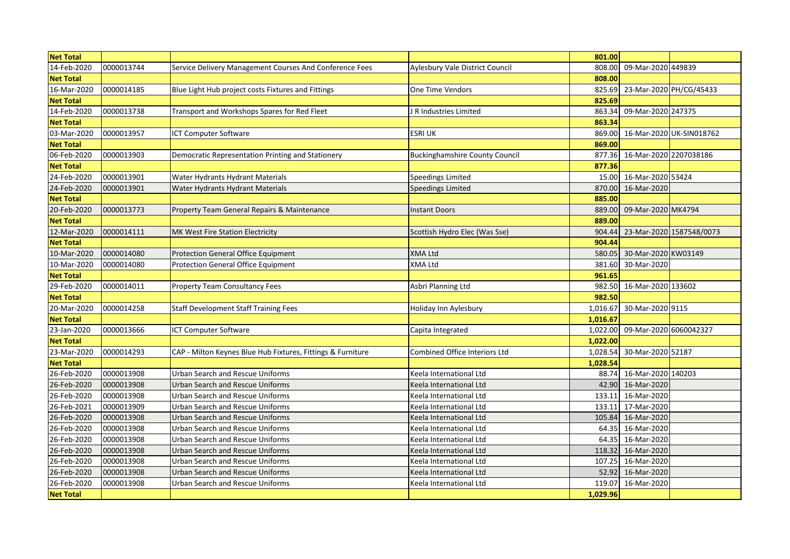| <b>Net Total</b> |            |                                                             |                                       | 801.00   |                         |                          |
|------------------|------------|-------------------------------------------------------------|---------------------------------------|----------|-------------------------|--------------------------|
| 14-Feb-2020      | 0000013744 | Service Delivery Management Courses And Conference Fees     | Aylesbury Vale District Council       | 808.00   | 09-Mar-2020 449839      |                          |
| <b>Net Total</b> |            |                                                             |                                       | 808.00   |                         |                          |
| 16-Mar-2020      | 0000014185 | Blue Light Hub project costs Fixtures and Fittings          | One Time Vendors                      | 825.69   | 23-Mar-2020 PH/CG/45433 |                          |
| <b>Net Total</b> |            |                                                             |                                       | 825.69   |                         |                          |
| 14-Feb-2020      | 0000013738 | Transport and Workshops Spares for Red Fleet                | J R Industries Limited                | 863.34   | 09-Mar-2020 247375      |                          |
| <b>Net Total</b> |            |                                                             |                                       | 863.34   |                         |                          |
| 03-Mar-2020      | 0000013957 | ICT Computer Software                                       | <b>ESRI UK</b>                        | 869.00   |                         | 16-Mar-2020 UK-SIN018762 |
| <b>Net Total</b> |            |                                                             |                                       | 869.00   |                         |                          |
| 06-Feb-2020      | 0000013903 | Democratic Representation Printing and Stationery           | <b>Buckinghamshire County Council</b> | 877.36   | 16-Mar-2020 2207038186  |                          |
| <b>Net Total</b> |            |                                                             |                                       | 877.36   |                         |                          |
| 24-Feb-2020      | 0000013901 | Water Hydrants Hydrant Materials                            | <b>Speedings Limited</b>              | 15.00    | 16-Mar-2020 53424       |                          |
| 24-Feb-2020      | 0000013901 | Water Hydrants Hydrant Materials                            | <b>Speedings Limited</b>              | 870.00   | 16-Mar-2020             |                          |
| <b>Net Total</b> |            |                                                             |                                       | 885.00   |                         |                          |
| 20-Feb-2020      | 0000013773 | Property Team General Repairs & Maintenance                 | <b>Instant Doors</b>                  | 889.00   | 09-Mar-2020 MK4794      |                          |
| <b>Net Total</b> |            |                                                             |                                       | 889.00   |                         |                          |
| 12-Mar-2020      | 0000014111 | MK West Fire Station Electricity                            | Scottish Hydro Elec (Was Sse)         | 904.44   |                         | 23-Mar-2020 1587548/0073 |
| <b>Net Total</b> |            |                                                             |                                       | 904.44   |                         |                          |
| 10-Mar-2020      | 0000014080 | Protection General Office Equipment                         | <b>XMA Ltd</b>                        | 580.05   | 30-Mar-2020 KW03149     |                          |
| 10-Mar-2020      | 0000014080 | Protection General Office Equipment                         | <b>XMA Ltd</b>                        | 381.60   | 30-Mar-2020             |                          |
| <b>Net Total</b> |            |                                                             |                                       | 961.65   |                         |                          |
| 29-Feb-2020      | 0000014011 | <b>Property Team Consultancy Fees</b>                       | Asbri Planning Ltd                    | 982.50   | 16-Mar-2020 133602      |                          |
| <b>Net Total</b> |            |                                                             |                                       | 982.50   |                         |                          |
| 20-Mar-2020      | 0000014258 | <b>Staff Development Staff Training Fees</b>                | Holiday Inn Aylesbury                 | 1,016.67 | 30-Mar-2020 9115        |                          |
| <b>Net Total</b> |            |                                                             |                                       | 1,016.67 |                         |                          |
| 23-Jan-2020      | 0000013666 | <b>ICT Computer Software</b>                                | Capita Integrated                     | 1,022.00 | 09-Mar-2020 6060042327  |                          |
| <b>Net Total</b> |            |                                                             |                                       | 1,022.00 |                         |                          |
| 23-Mar-2020      | 0000014293 | CAP - Milton Keynes Blue Hub Fixtures, Fittings & Furniture | Combined Office Interiors Ltd         | 1,028.54 | 30-Mar-2020 52187       |                          |
| <b>Net Total</b> |            |                                                             |                                       | 1,028.54 |                         |                          |
| 26-Feb-2020      | 0000013908 | <b>Urban Search and Rescue Uniforms</b>                     | Keela International Ltd               | 88.74    | 16-Mar-2020 140203      |                          |
| 26-Feb-2020      | 0000013908 | Urban Search and Rescue Uniforms                            | Keela International Ltd               | 42.90    | 16-Mar-2020             |                          |
| 26-Feb-2020      | 0000013908 | Urban Search and Rescue Uniforms                            | Keela International Ltd               | 133.11   | 16-Mar-2020             |                          |
| 26-Feb-2021      | 0000013909 | Urban Search and Rescue Uniforms                            | Keela International Ltd               | 133.11   | 17-Mar-2020             |                          |
| 26-Feb-2020      | 0000013908 | <b>Urban Search and Rescue Uniforms</b>                     | Keela International Ltd               | 105.84   | 16-Mar-2020             |                          |
| 26-Feb-2020      | 0000013908 | Urban Search and Rescue Uniforms                            | Keela International Ltd               | 64.35    | 16-Mar-2020             |                          |
| 26-Feb-2020      | 0000013908 | Urban Search and Rescue Uniforms                            | Keela International Ltd               | 64.35    | 16-Mar-2020             |                          |
| 26-Feb-2020      | 0000013908 | Urban Search and Rescue Uniforms                            | Keela International Ltd               | 118.32   | 16-Mar-2020             |                          |
| 26-Feb-2020      | 0000013908 | Urban Search and Rescue Uniforms                            | Keela International Ltd               | 107.25   | 16-Mar-2020             |                          |
| 26-Feb-2020      | 0000013908 | <b>Urban Search and Rescue Uniforms</b>                     | Keela International Ltd               | 52.92    | 16-Mar-2020             |                          |
| 26-Feb-2020      | 0000013908 | <b>Urban Search and Rescue Uniforms</b>                     | Keela International Ltd               | 119.07   | 16-Mar-2020             |                          |
| <b>Net Total</b> |            |                                                             |                                       | 1,029.96 |                         |                          |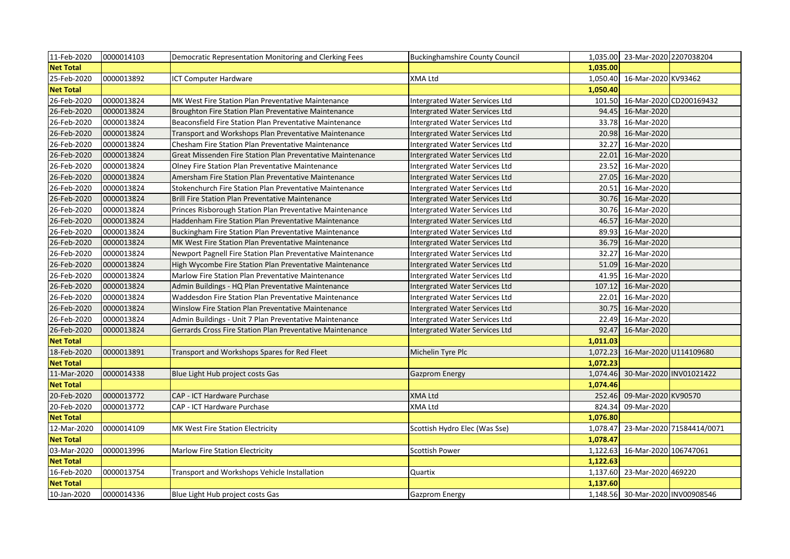| 11-Feb-2020      | 0000014103 | Democratic Representation Monitoring and Clerking Fees     | <b>Buckinghamshire County Council</b> |          | 1,035.00 23-Mar-2020 2207038204 |                                  |
|------------------|------------|------------------------------------------------------------|---------------------------------------|----------|---------------------------------|----------------------------------|
| <b>Net Total</b> |            |                                                            |                                       | 1,035.00 |                                 |                                  |
| 25-Feb-2020      | 0000013892 | <b>ICT Computer Hardware</b>                               | XMA Ltd                               | 1,050.40 | 16-Mar-2020 KV93462             |                                  |
| <b>Net Total</b> |            |                                                            |                                       | 1,050.40 |                                 |                                  |
| 26-Feb-2020      | 0000013824 | MK West Fire Station Plan Preventative Maintenance         | Intergrated Water Services Ltd        | 101.50   |                                 | 16-Mar-2020 CD200169432          |
| 26-Feb-2020      | 0000013824 | Broughton Fire Station Plan Preventative Maintenance       | Intergrated Water Services Ltd        | 94.45    | 16-Mar-2020                     |                                  |
| 26-Feb-2020      | 0000013824 | Beaconsfield Fire Station Plan Preventative Maintenance    | Intergrated Water Services Ltd        | 33.78    | 16-Mar-2020                     |                                  |
| 26-Feb-2020      | 0000013824 | Transport and Workshops Plan Preventative Maintenance      | Intergrated Water Services Ltd        | 20.98    | 16-Mar-2020                     |                                  |
| 26-Feb-2020      | 0000013824 | Chesham Fire Station Plan Preventative Maintenance         | Intergrated Water Services Ltd        | 32.27    | 16-Mar-2020                     |                                  |
| 26-Feb-2020      | 0000013824 | Great Missenden Fire Station Plan Preventative Maintenance | Intergrated Water Services Ltd        | 22.01    | 16-Mar-2020                     |                                  |
| 26-Feb-2020      | 0000013824 | Olney Fire Station Plan Preventative Maintenance           | Intergrated Water Services Ltd        | 23.52    | 16-Mar-2020                     |                                  |
| 26-Feb-2020      | 0000013824 | Amersham Fire Station Plan Preventative Maintenance        | Intergrated Water Services Ltd        | 27.05    | 16-Mar-2020                     |                                  |
| 26-Feb-2020      | 0000013824 | Stokenchurch Fire Station Plan Preventative Maintenance    | Intergrated Water Services Ltd        | 20.51    | 16-Mar-2020                     |                                  |
| 26-Feb-2020      | 0000013824 | Brill Fire Station Plan Preventative Maintenance           | Intergrated Water Services Ltd        | 30.76    | 16-Mar-2020                     |                                  |
| 26-Feb-2020      | 0000013824 | Princes Risborough Station Plan Preventative Maintenance   | Intergrated Water Services Ltd        | 30.76    | 16-Mar-2020                     |                                  |
| 26-Feb-2020      | 0000013824 | Haddenham Fire Station Plan Preventative Maintenance       | Intergrated Water Services Ltd        | 46.57    | 16-Mar-2020                     |                                  |
| 26-Feb-2020      | 0000013824 | Buckingham Fire Station Plan Preventative Maintenance      | Intergrated Water Services Ltd        | 89.93    | 16-Mar-2020                     |                                  |
| 26-Feb-2020      | 0000013824 | MK West Fire Station Plan Preventative Maintenance         | Intergrated Water Services Ltd        | 36.79    | 16-Mar-2020                     |                                  |
| 26-Feb-2020      | 0000013824 | Newport Pagnell Fire Station Plan Preventative Maintenance | Intergrated Water Services Ltd        | 32.27    | 16-Mar-2020                     |                                  |
| 26-Feb-2020      | 0000013824 | High Wycombe Fire Station Plan Preventative Maintenance    | Intergrated Water Services Ltd        | 51.09    | 16-Mar-2020                     |                                  |
| 26-Feb-2020      | 0000013824 | Marlow Fire Station Plan Preventative Maintenance          | Intergrated Water Services Ltd        | 41.95    | 16-Mar-2020                     |                                  |
| 26-Feb-2020      | 0000013824 | Admin Buildings - HQ Plan Preventative Maintenance         | Intergrated Water Services Ltd        | 107.12   | 16-Mar-2020                     |                                  |
| 26-Feb-2020      | 0000013824 | Waddesdon Fire Station Plan Preventative Maintenance       | Intergrated Water Services Ltd        | 22.01    | 16-Mar-2020                     |                                  |
| 26-Feb-2020      | 0000013824 | Winslow Fire Station Plan Preventative Maintenance         | Intergrated Water Services Ltd        | 30.75    | 16-Mar-2020                     |                                  |
| 26-Feb-2020      | 0000013824 | Admin Buildings - Unit 7 Plan Preventative Maintenance     | Intergrated Water Services Ltd        | 22.49    | 16-Mar-2020                     |                                  |
| 26-Feb-2020      | 0000013824 | Gerrards Cross Fire Station Plan Preventative Maintenance  | Intergrated Water Services Ltd        | 92.47    | 16-Mar-2020                     |                                  |
| <b>Net Total</b> |            |                                                            |                                       | 1,011.03 |                                 |                                  |
| 18-Feb-2020      | 0000013891 | Transport and Workshops Spares for Red Fleet               | Michelin Tyre Plc                     | 1,072.23 |                                 | 16-Mar-2020 U114109680           |
| <b>Net Total</b> |            |                                                            |                                       | 1,072.23 |                                 |                                  |
| 11-Mar-2020      | 0000014338 | Blue Light Hub project costs Gas                           | <b>Gazprom Energy</b>                 | 1,074.46 |                                 | 30-Mar-2020 INV01021422          |
| <b>Net Total</b> |            |                                                            |                                       | 1,074.46 |                                 |                                  |
| 20-Feb-2020      | 0000013772 | CAP - ICT Hardware Purchase                                | <b>XMA Ltd</b>                        | 252.46   | 09-Mar-2020 KV90570             |                                  |
| 20-Feb-2020      | 0000013772 | CAP - ICT Hardware Purchase                                | XMA Ltd                               | 824.34   | 09-Mar-2020                     |                                  |
| <b>Net Total</b> |            |                                                            |                                       | 1,076.80 |                                 |                                  |
| 12-Mar-2020      | 0000014109 | MK West Fire Station Electricity                           | Scottish Hydro Elec (Was Sse)         | 1,078.47 |                                 | 23-Mar-2020 71584414/0071        |
| <b>Net Total</b> |            |                                                            |                                       | 1,078.47 |                                 |                                  |
| 03-Mar-2020      | 0000013996 | <b>Marlow Fire Station Electricity</b>                     | <b>Scottish Power</b>                 | 1,122.63 | 16-Mar-2020 106747061           |                                  |
| <b>Net Total</b> |            |                                                            |                                       | 1,122.63 |                                 |                                  |
| 16-Feb-2020      | 0000013754 | Transport and Workshops Vehicle Installation               | Quartix                               | 1,137.60 | 23-Mar-2020 469220              |                                  |
| <b>Net Total</b> |            |                                                            |                                       | 1,137.60 |                                 |                                  |
| 10-Jan-2020      | 0000014336 | Blue Light Hub project costs Gas                           | <b>Gazprom Energy</b>                 |          |                                 | 1,148.56 30-Mar-2020 INV00908546 |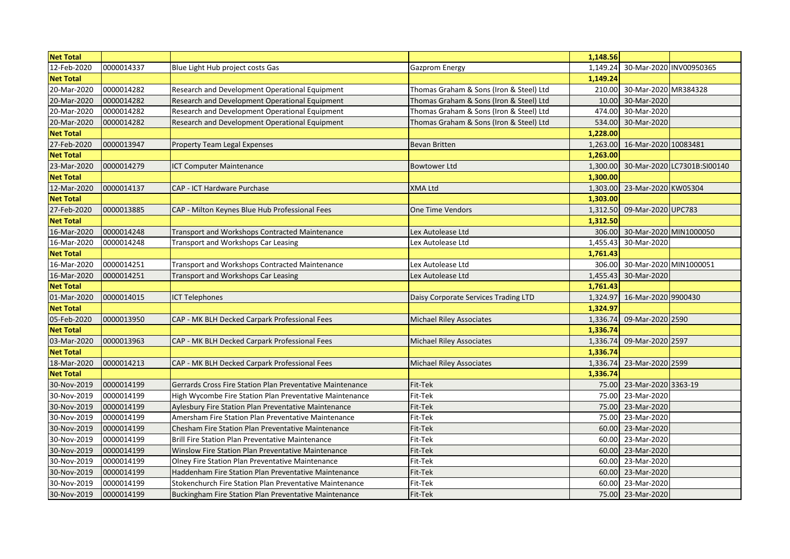| <b>Net Total</b> |            |                                                           |                                         | 1,148.56 |                        |                             |
|------------------|------------|-----------------------------------------------------------|-----------------------------------------|----------|------------------------|-----------------------------|
| 12-Feb-2020      | 0000014337 | Blue Light Hub project costs Gas                          | Gazprom Energy                          | 1,149.24 |                        | 30-Mar-2020 INV00950365     |
| <b>Net Total</b> |            |                                                           |                                         | 1,149.24 |                        |                             |
| 20-Mar-2020      | 0000014282 | Research and Development Operational Equipment            | Thomas Graham & Sons (Iron & Steel) Ltd | 210.00   | 30-Mar-2020 MR384328   |                             |
| 20-Mar-2020      | 0000014282 | Research and Development Operational Equipment            | Thomas Graham & Sons (Iron & Steel) Ltd | 10.00    | 30-Mar-2020            |                             |
| 20-Mar-2020      | 0000014282 | Research and Development Operational Equipment            | Thomas Graham & Sons (Iron & Steel) Ltd | 474.00   | 30-Mar-2020            |                             |
| 20-Mar-2020      | 0000014282 | Research and Development Operational Equipment            | Thomas Graham & Sons (Iron & Steel) Ltd | 534.00   | 30-Mar-2020            |                             |
| <b>Net Total</b> |            |                                                           |                                         | 1,228.00 |                        |                             |
| 27-Feb-2020      | 0000013947 | <b>Property Team Legal Expenses</b>                       | <b>Bevan Britten</b>                    | 1,263.00 | 16-Mar-2020 10083481   |                             |
| <b>Net Total</b> |            |                                                           |                                         | 1,263.00 |                        |                             |
| 23-Mar-2020      | 0000014279 | <b>ICT Computer Maintenance</b>                           | <b>Bowtower Ltd</b>                     | 1,300.00 |                        | 30-Mar-2020 LC7301B:SI00140 |
| <b>Net Total</b> |            |                                                           |                                         | 1,300.00 |                        |                             |
| 12-Mar-2020      | 0000014137 | CAP - ICT Hardware Purchase                               | <b>XMA Ltd</b>                          | 1,303.00 | 23-Mar-2020 KW05304    |                             |
| <b>Net Total</b> |            |                                                           |                                         | 1,303.00 |                        |                             |
| 27-Feb-2020      | 0000013885 | CAP - Milton Keynes Blue Hub Professional Fees            | One Time Vendors                        | 1,312.50 | 09-Mar-2020 UPC783     |                             |
| <b>Net Total</b> |            |                                                           |                                         | 1,312.50 |                        |                             |
| 16-Mar-2020      | 0000014248 | Transport and Workshops Contracted Maintenance            | Lex Autolease Ltd                       | 306.00   | 30-Mar-2020 MIN1000050 |                             |
| 16-Mar-2020      | 0000014248 | Transport and Workshops Car Leasing                       | Lex Autolease Ltd                       | 1,455.43 | 30-Mar-2020            |                             |
| <b>Net Total</b> |            |                                                           |                                         | 1,761.43 |                        |                             |
| 16-Mar-2020      | 0000014251 | Transport and Workshops Contracted Maintenance            | Lex Autolease Ltd                       | 306.00   | 30-Mar-2020 MIN1000051 |                             |
| 16-Mar-2020      | 0000014251 | Transport and Workshops Car Leasing                       | Lex Autolease Ltd                       | 1,455.43 | 30-Mar-2020            |                             |
| <b>Net Total</b> |            |                                                           |                                         | 1,761.43 |                        |                             |
| 01-Mar-2020      | 0000014015 | <b>ICT Telephones</b>                                     | Daisy Corporate Services Trading LTD    | 1,324.97 | 16-Mar-2020 9900430    |                             |
| <b>Net Total</b> |            |                                                           |                                         | 1,324.97 |                        |                             |
| 05-Feb-2020      | 0000013950 | CAP - MK BLH Decked Carpark Professional Fees             | <b>Michael Riley Associates</b>         | 1,336.74 | 09-Mar-2020 2590       |                             |
| <b>Net Total</b> |            |                                                           |                                         | 1,336.74 |                        |                             |
| 03-Mar-2020      | 0000013963 | CAP - MK BLH Decked Carpark Professional Fees             | <b>Michael Riley Associates</b>         | 1,336.74 | 09-Mar-2020 2597       |                             |
| <b>Net Total</b> |            |                                                           |                                         | 1,336.74 |                        |                             |
| 18-Mar-2020      | 0000014213 | CAP - MK BLH Decked Carpark Professional Fees             | <b>Michael Riley Associates</b>         | 1,336.74 | 23-Mar-2020 2599       |                             |
| <b>Net Total</b> |            |                                                           |                                         | 1,336.74 |                        |                             |
| 30-Nov-2019      | 0000014199 | Gerrards Cross Fire Station Plan Preventative Maintenance | Fit-Tek                                 | 75.00    | 23-Mar-2020 3363-19    |                             |
| 30-Nov-2019      | 0000014199 | High Wycombe Fire Station Plan Preventative Maintenance   | Fit-Tek                                 | 75.00    | 23-Mar-2020            |                             |
| 30-Nov-2019      | 0000014199 | Aylesbury Fire Station Plan Preventative Maintenance      | Fit-Tek                                 | 75.00    | 23-Mar-2020            |                             |
| 30-Nov-2019      | 0000014199 | Amersham Fire Station Plan Preventative Maintenance       | Fit-Tek                                 | 75.00    | 23-Mar-2020            |                             |
| 30-Nov-2019      | 0000014199 | <b>Chesham Fire Station Plan Preventative Maintenance</b> | Fit-Tek                                 | 60.00    | 23-Mar-2020            |                             |
| 30-Nov-2019      | 0000014199 | Brill Fire Station Plan Preventative Maintenance          | Fit-Tek                                 | 60.00    | 23-Mar-2020            |                             |
| 30-Nov-2019      | 0000014199 | Winslow Fire Station Plan Preventative Maintenance        | Fit-Tek                                 | 60.00    | 23-Mar-2020            |                             |
| 30-Nov-2019      | 0000014199 | Olney Fire Station Plan Preventative Maintenance          | Fit-Tek                                 | 60.00    | 23-Mar-2020            |                             |
| 30-Nov-2019      | 0000014199 | Haddenham Fire Station Plan Preventative Maintenance      | Fit-Tek                                 | 60.00    | 23-Mar-2020            |                             |
| 30-Nov-2019      | 0000014199 | Stokenchurch Fire Station Plan Preventative Maintenance   | Fit-Tek                                 | 60.00    | 23-Mar-2020            |                             |
| 30-Nov-2019      | 0000014199 | Buckingham Fire Station Plan Preventative Maintenance     | Fit-Tek                                 |          | 75.00 23-Mar-2020      |                             |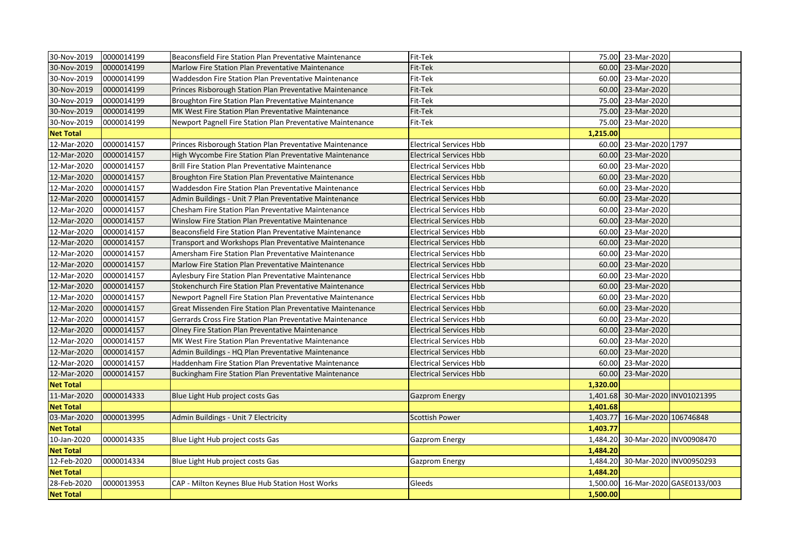| 30-Nov-2019      | 0000014199 | Beaconsfield Fire Station Plan Preventative Maintenance    | Fit-Tek                        |          | 75.00 23-Mar-2020     |                          |
|------------------|------------|------------------------------------------------------------|--------------------------------|----------|-----------------------|--------------------------|
| 30-Nov-2019      | 0000014199 | Marlow Fire Station Plan Preventative Maintenance          | Fit-Tek                        | 60.00    | 23-Mar-2020           |                          |
| 30-Nov-2019      | 0000014199 | Waddesdon Fire Station Plan Preventative Maintenance       | Fit-Tek                        | 60.00    | 23-Mar-2020           |                          |
| 30-Nov-2019      | 0000014199 | Princes Risborough Station Plan Preventative Maintenance   | Fit-Tek                        | 60.00    | 23-Mar-2020           |                          |
| 30-Nov-2019      | 0000014199 | Broughton Fire Station Plan Preventative Maintenance       | Fit-Tek                        | 75.00    | 23-Mar-2020           |                          |
| 30-Nov-2019      | 0000014199 | MK West Fire Station Plan Preventative Maintenance         | Fit-Tek                        | 75.00    | 23-Mar-2020           |                          |
| 30-Nov-2019      | 0000014199 | Newport Pagnell Fire Station Plan Preventative Maintenance | Fit-Tek                        | 75.00    | 23-Mar-2020           |                          |
| <b>Net Total</b> |            |                                                            |                                | 1,215.00 |                       |                          |
| 12-Mar-2020      | 0000014157 | Princes Risborough Station Plan Preventative Maintenance   | <b>Electrical Services Hbb</b> | 60.00    | 23-Mar-2020 1797      |                          |
| 12-Mar-2020      | 0000014157 | High Wycombe Fire Station Plan Preventative Maintenance    | <b>Electrical Services Hbb</b> | 60.00    | 23-Mar-2020           |                          |
| 12-Mar-2020      | 0000014157 | Brill Fire Station Plan Preventative Maintenance           | <b>Electrical Services Hbb</b> | 60.00    | 23-Mar-2020           |                          |
| 12-Mar-2020      | 0000014157 | Broughton Fire Station Plan Preventative Maintenance       | <b>Electrical Services Hbb</b> | 60.00    | 23-Mar-2020           |                          |
| 12-Mar-2020      | 0000014157 | Waddesdon Fire Station Plan Preventative Maintenance       | <b>Electrical Services Hbb</b> | 60.00    | 23-Mar-2020           |                          |
| 12-Mar-2020      | 0000014157 | Admin Buildings - Unit 7 Plan Preventative Maintenance     | <b>Electrical Services Hbb</b> | 60.00    | 23-Mar-2020           |                          |
| 12-Mar-2020      | 0000014157 | Chesham Fire Station Plan Preventative Maintenance         | <b>Electrical Services Hbb</b> | 60.00    | 23-Mar-2020           |                          |
| 12-Mar-2020      | 0000014157 | Winslow Fire Station Plan Preventative Maintenance         | <b>Electrical Services Hbb</b> | 60.00    | 23-Mar-2020           |                          |
| 12-Mar-2020      | 0000014157 | Beaconsfield Fire Station Plan Preventative Maintenance    | <b>Electrical Services Hbb</b> | 60.00    | 23-Mar-2020           |                          |
| 12-Mar-2020      | 0000014157 | Transport and Workshops Plan Preventative Maintenance      | <b>Electrical Services Hbb</b> | 60.00    | 23-Mar-2020           |                          |
| 12-Mar-2020      | 0000014157 | Amersham Fire Station Plan Preventative Maintenance        | <b>Electrical Services Hbb</b> | 60.00    | 23-Mar-2020           |                          |
| 12-Mar-2020      | 0000014157 | Marlow Fire Station Plan Preventative Maintenance          | <b>Electrical Services Hbb</b> | 60.00    | 23-Mar-2020           |                          |
| 12-Mar-2020      | 0000014157 | Aylesbury Fire Station Plan Preventative Maintenance       | <b>Electrical Services Hbb</b> | 60.00    | 23-Mar-2020           |                          |
| 12-Mar-2020      | 0000014157 | Stokenchurch Fire Station Plan Preventative Maintenance    | <b>Electrical Services Hbb</b> | 60.00    | 23-Mar-2020           |                          |
| 12-Mar-2020      | 0000014157 | Newport Pagnell Fire Station Plan Preventative Maintenance | <b>Electrical Services Hbb</b> | 60.00    | 23-Mar-2020           |                          |
| 12-Mar-2020      | 0000014157 | Great Missenden Fire Station Plan Preventative Maintenance | <b>Electrical Services Hbb</b> |          | 60.00 23-Mar-2020     |                          |
| 12-Mar-2020      | 0000014157 | Gerrards Cross Fire Station Plan Preventative Maintenance  | <b>Electrical Services Hbb</b> | 60.00    | 23-Mar-2020           |                          |
| 12-Mar-2020      | 0000014157 | Olney Fire Station Plan Preventative Maintenance           | <b>Electrical Services Hbb</b> | 60.00    | 23-Mar-2020           |                          |
| 12-Mar-2020      | 0000014157 | MK West Fire Station Plan Preventative Maintenance         | <b>Electrical Services Hbb</b> | 60.00    | 23-Mar-2020           |                          |
| 12-Mar-2020      | 0000014157 | Admin Buildings - HQ Plan Preventative Maintenance         | <b>Electrical Services Hbb</b> |          | 60.00 23-Mar-2020     |                          |
| 12-Mar-2020      | 0000014157 | Haddenham Fire Station Plan Preventative Maintenance       | <b>Electrical Services Hbb</b> | 60.00    | 23-Mar-2020           |                          |
| 12-Mar-2020      | 0000014157 | Buckingham Fire Station Plan Preventative Maintenance      | <b>Electrical Services Hbb</b> | 60.00    | 23-Mar-2020           |                          |
| <b>Net Total</b> |            |                                                            |                                | 1,320.00 |                       |                          |
| 11-Mar-2020      | 0000014333 | Blue Light Hub project costs Gas                           | <b>Gazprom Energy</b>          | 1,401.68 |                       | 30-Mar-2020 INV01021395  |
| <b>Net Total</b> |            |                                                            |                                | 1,401.68 |                       |                          |
| 03-Mar-2020      | 0000013995 | Admin Buildings - Unit 7 Electricity                       | Scottish Power                 | 1,403.77 | 16-Mar-2020 106746848 |                          |
| <b>Net Total</b> |            |                                                            |                                | 1,403.77 |                       |                          |
| 10-Jan-2020      | 0000014335 | Blue Light Hub project costs Gas                           | <b>Gazprom Energy</b>          | 1,484.20 |                       | 30-Mar-2020 INV00908470  |
| <b>Net Total</b> |            |                                                            |                                | 1,484.20 |                       |                          |
| 12-Feb-2020      | 0000014334 | Blue Light Hub project costs Gas                           | <b>Gazprom Energy</b>          | 1,484.20 |                       | 30-Mar-2020 INV00950293  |
| <b>Net Total</b> |            |                                                            |                                | 1,484.20 |                       |                          |
| 28-Feb-2020      | 0000013953 | CAP - Milton Keynes Blue Hub Station Host Works            | Gleeds                         | 1,500.00 |                       | 16-Mar-2020 GASE0133/003 |
| <b>Net Total</b> |            |                                                            |                                | 1,500.00 |                       |                          |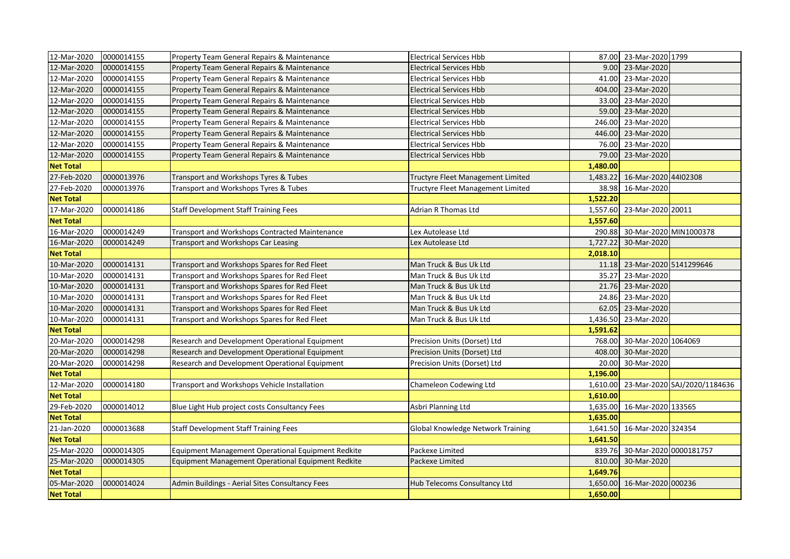| 12-Mar-2020      | 0000014155 | Property Team General Repairs & Maintenance        | <b>Electrical Services Hbb</b>    |          | 87.00 23-Mar-2020 1799 |                              |
|------------------|------------|----------------------------------------------------|-----------------------------------|----------|------------------------|------------------------------|
| 12-Mar-2020      | 0000014155 | Property Team General Repairs & Maintenance        | <b>Electrical Services Hbb</b>    | 9.00     | 23-Mar-2020            |                              |
| 12-Mar-2020      | 0000014155 | Property Team General Repairs & Maintenance        | <b>Electrical Services Hbb</b>    | 41.00    | 23-Mar-2020            |                              |
| 12-Mar-2020      | 0000014155 | Property Team General Repairs & Maintenance        | <b>Electrical Services Hbb</b>    | 404.00   | 23-Mar-2020            |                              |
| 12-Mar-2020      | 0000014155 | Property Team General Repairs & Maintenance        | <b>Electrical Services Hbb</b>    | 33.00    | 23-Mar-2020            |                              |
| 12-Mar-2020      | 0000014155 | Property Team General Repairs & Maintenance        | <b>Electrical Services Hbb</b>    | 59.00    | 23-Mar-2020            |                              |
| 12-Mar-2020      | 0000014155 | Property Team General Repairs & Maintenance        | <b>Electrical Services Hbb</b>    | 246.00   | 23-Mar-2020            |                              |
| 12-Mar-2020      | 0000014155 | Property Team General Repairs & Maintenance        | <b>Electrical Services Hbb</b>    | 446.00   | 23-Mar-2020            |                              |
| 12-Mar-2020      | 0000014155 | Property Team General Repairs & Maintenance        | <b>Electrical Services Hbb</b>    | 76.00    | 23-Mar-2020            |                              |
| 12-Mar-2020      | 0000014155 | Property Team General Repairs & Maintenance        | <b>Electrical Services Hbb</b>    | 79.00    | 23-Mar-2020            |                              |
| <b>Net Total</b> |            |                                                    |                                   | 1,480.00 |                        |                              |
| 27-Feb-2020      | 0000013976 | Transport and Workshops Tyres & Tubes              | Tructyre Fleet Management Limited | 1,483.22 | 16-Mar-2020 44102308   |                              |
| 27-Feb-2020      | 0000013976 | Transport and Workshops Tyres & Tubes              | Tructyre Fleet Management Limited | 38.98    | 16-Mar-2020            |                              |
| <b>Net Total</b> |            |                                                    |                                   | 1,522.20 |                        |                              |
| 17-Mar-2020      | 0000014186 | <b>Staff Development Staff Training Fees</b>       | Adrian R Thomas Ltd               | 1,557.60 | 23-Mar-2020 20011      |                              |
| <b>Net Total</b> |            |                                                    |                                   | 1,557.60 |                        |                              |
| 16-Mar-2020      | 0000014249 | Transport and Workshops Contracted Maintenance     | Lex Autolease Ltd                 | 290.88   | 30-Mar-2020 MIN1000378 |                              |
| 16-Mar-2020      | 0000014249 | Transport and Workshops Car Leasing                | Lex Autolease Ltd                 | 1,727.22 | 30-Mar-2020            |                              |
| <b>Net Total</b> |            |                                                    |                                   | 2,018.10 |                        |                              |
| 10-Mar-2020      | 0000014131 | Transport and Workshops Spares for Red Fleet       | Man Truck & Bus Uk Ltd            | 11.18    | 23-Mar-2020 5141299646 |                              |
| 10-Mar-2020      | 0000014131 | Transport and Workshops Spares for Red Fleet       | Man Truck & Bus Uk Ltd            | 35.27    | 23-Mar-2020            |                              |
| 10-Mar-2020      | 0000014131 | Transport and Workshops Spares for Red Fleet       | Man Truck & Bus Uk Ltd            | 21.76    | 23-Mar-2020            |                              |
| 10-Mar-2020      | 0000014131 | Transport and Workshops Spares for Red Fleet       | Man Truck & Bus Uk Ltd            | 24.86    | 23-Mar-2020            |                              |
| 10-Mar-2020      | 0000014131 | Transport and Workshops Spares for Red Fleet       | Man Truck & Bus Uk Ltd            | 62.05    | 23-Mar-2020            |                              |
| 10-Mar-2020      | 0000014131 | Transport and Workshops Spares for Red Fleet       | Man Truck & Bus Uk Ltd            | 1,436.50 | 23-Mar-2020            |                              |
| <b>Net Total</b> |            |                                                    |                                   | 1,591.62 |                        |                              |
| 20-Mar-2020      | 0000014298 | Research and Development Operational Equipment     | Precision Units (Dorset) Ltd      | 768.00   | 30-Mar-2020 1064069    |                              |
| 20-Mar-2020      | 0000014298 | Research and Development Operational Equipment     | Precision Units (Dorset) Ltd      | 408.00   | 30-Mar-2020            |                              |
| 20-Mar-2020      | 0000014298 | Research and Development Operational Equipment     | Precision Units (Dorset) Ltd      | 20.00    | 30-Mar-2020            |                              |
| <b>Net Total</b> |            |                                                    |                                   | 1,196.00 |                        |                              |
| 12-Mar-2020      | 0000014180 | Transport and Workshops Vehicle Installation       | Chameleon Codewing Ltd            | 1,610.00 |                        | 23-Mar-2020 SAJ/2020/1184636 |
| <b>Net Total</b> |            |                                                    |                                   | 1,610.00 |                        |                              |
| 29-Feb-2020      | 0000014012 | Blue Light Hub project costs Consultancy Fees      | Asbri Planning Ltd                | 1,635.00 | 16-Mar-2020 133565     |                              |
| <b>Net Total</b> |            |                                                    |                                   | 1,635.00 |                        |                              |
| 21-Jan-2020      | 0000013688 | <b>Staff Development Staff Training Fees</b>       | Global Knowledge Network Training | 1,641.50 | 16-Mar-2020 324354     |                              |
| <b>Net Total</b> |            |                                                    |                                   | 1,641.50 |                        |                              |
| 25-Mar-2020      | 0000014305 | Equipment Management Operational Equipment Redkite | Packexe Limited                   | 839.76   | 30-Mar-2020 0000181757 |                              |
| 25-Mar-2020      | 0000014305 | Equipment Management Operational Equipment Redkite | Packexe Limited                   | 810.00   | 30-Mar-2020            |                              |
| <b>Net Total</b> |            |                                                    |                                   | 1,649.76 |                        |                              |
| 05-Mar-2020      | 0000014024 | Admin Buildings - Aerial Sites Consultancy Fees    | Hub Telecoms Consultancy Ltd      | 1,650.00 | 16-Mar-2020 000236     |                              |
| <b>Net Total</b> |            |                                                    |                                   | 1,650.00 |                        |                              |
|                  |            |                                                    |                                   |          |                        |                              |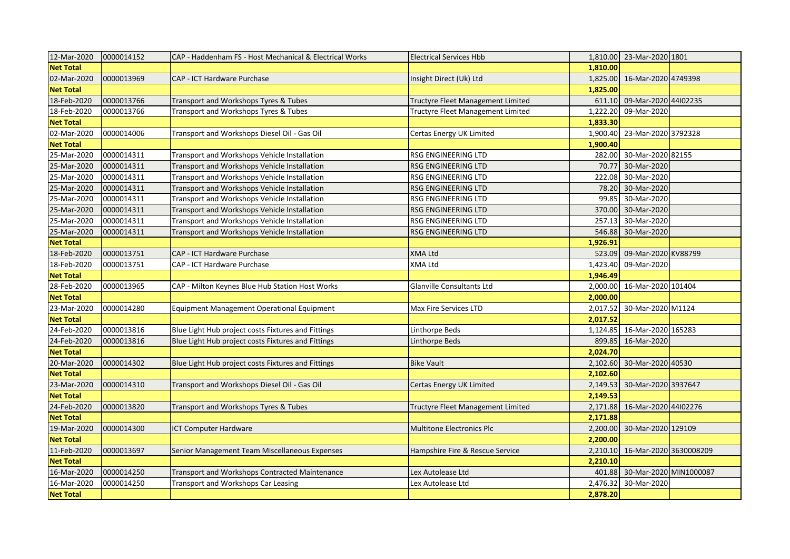| 12-Mar-2020      | 0000014152 | CAP - Haddenham FS - Host Mechanical & Electrical Works | <b>Electrical Services Hbb</b>    |          | 1,810.00 23-Mar-2020 1801 |  |
|------------------|------------|---------------------------------------------------------|-----------------------------------|----------|---------------------------|--|
| <b>Net Total</b> |            |                                                         |                                   | 1,810.00 |                           |  |
| 02-Mar-2020      | 0000013969 | CAP - ICT Hardware Purchase                             | Insight Direct (Uk) Ltd           | 1,825.00 | 16-Mar-2020 4749398       |  |
| <b>Net Total</b> |            |                                                         |                                   | 1,825.00 |                           |  |
| 18-Feb-2020      | 0000013766 | Transport and Workshops Tyres & Tubes                   | Tructyre Fleet Management Limited | 611.10   | 09-Mar-2020 44102235      |  |
| 18-Feb-2020      | 0000013766 | Transport and Workshops Tyres & Tubes                   | Tructyre Fleet Management Limited | 1,222.20 | 09-Mar-2020               |  |
| <b>Net Total</b> |            |                                                         |                                   | 1,833.30 |                           |  |
| 02-Mar-2020      | 0000014006 | Transport and Workshops Diesel Oil - Gas Oil            | Certas Energy UK Limited          | 1,900.40 | 23-Mar-2020 3792328       |  |
| <b>Net Total</b> |            |                                                         |                                   | 1,900.40 |                           |  |
| 25-Mar-2020      | 0000014311 | Transport and Workshops Vehicle Installation            | RSG ENGINEERING LTD               | 282.00   | 30-Mar-2020 82155         |  |
| 25-Mar-2020      | 0000014311 | Transport and Workshops Vehicle Installation            | RSG ENGINEERING LTD               | 70.77    | 30-Mar-2020               |  |
| 25-Mar-2020      | 0000014311 | Transport and Workshops Vehicle Installation            | RSG ENGINEERING LTD               | 222.08   | 30-Mar-2020               |  |
| 25-Mar-2020      | 0000014311 | Transport and Workshops Vehicle Installation            | RSG ENGINEERING LTD               | 78.20    | 30-Mar-2020               |  |
| 25-Mar-2020      | 0000014311 | Transport and Workshops Vehicle Installation            | RSG ENGINEERING LTD               | 99.85    | 30-Mar-2020               |  |
| 25-Mar-2020      | 0000014311 | Transport and Workshops Vehicle Installation            | <b>RSG ENGINEERING LTD</b>        | 370.00   | 30-Mar-2020               |  |
| 25-Mar-2020      | 0000014311 | Transport and Workshops Vehicle Installation            | RSG ENGINEERING LTD               | 257.13   | 30-Mar-2020               |  |
| 25-Mar-2020      | 0000014311 | Transport and Workshops Vehicle Installation            | RSG ENGINEERING LTD               | 546.88   | 30-Mar-2020               |  |
| <b>Net Total</b> |            |                                                         |                                   | 1,926.91 |                           |  |
| 18-Feb-2020      | 0000013751 | CAP - ICT Hardware Purchase                             | <b>XMA Ltd</b>                    | 523.09   | 09-Mar-2020 KV88799       |  |
| 18-Feb-2020      | 0000013751 | CAP - ICT Hardware Purchase                             | <b>XMA Ltd</b>                    | 1,423.40 | 09-Mar-2020               |  |
| <b>Net Total</b> |            |                                                         |                                   | 1,946.49 |                           |  |
| 28-Feb-2020      | 0000013965 | CAP - Milton Keynes Blue Hub Station Host Works         | Glanville Consultants Ltd         | 2,000.00 | 16-Mar-2020 101404        |  |
| <b>Net Total</b> |            |                                                         |                                   | 2,000.00 |                           |  |
| 23-Mar-2020      | 0000014280 | Equipment Management Operational Equipment              | Max Fire Services LTD             | 2,017.52 | 30-Mar-2020 M1124         |  |
| <b>Net Total</b> |            |                                                         |                                   | 2,017.52 |                           |  |
| 24-Feb-2020      | 0000013816 | Blue Light Hub project costs Fixtures and Fittings      | Linthorpe Beds                    | 1.124.85 | 16-Mar-2020 165283        |  |
| 24-Feb-2020      | 0000013816 | Blue Light Hub project costs Fixtures and Fittings      | Linthorpe Beds                    | 899.85   | 16-Mar-2020               |  |
| <b>Net Total</b> |            |                                                         |                                   | 2,024.70 |                           |  |
| 20-Mar-2020      | 0000014302 | Blue Light Hub project costs Fixtures and Fittings      | <b>Bike Vault</b>                 | 2,102.60 | 30-Mar-2020 40530         |  |
| <b>Net Total</b> |            |                                                         |                                   | 2,102.60 |                           |  |
| 23-Mar-2020      | 0000014310 | Transport and Workshops Diesel Oil - Gas Oil            | Certas Energy UK Limited          | 2,149.53 | 30-Mar-2020 3937647       |  |
| <b>Net Total</b> |            |                                                         |                                   | 2,149.53 |                           |  |
| 24-Feb-2020      | 0000013820 | Transport and Workshops Tyres & Tubes                   | Tructyre Fleet Management Limited | 2,171.88 | 16-Mar-2020 44102276      |  |
| <b>Net Total</b> |            |                                                         |                                   | 2,171.88 |                           |  |
| 19-Mar-2020      | 0000014300 | <b>ICT Computer Hardware</b>                            | <b>Multitone Electronics Plc</b>  | 2,200.00 | 30-Mar-2020 129109        |  |
| <b>Net Total</b> |            |                                                         |                                   | 2,200.00 |                           |  |
| 11-Feb-2020      | 0000013697 | Senior Management Team Miscellaneous Expenses           | Hampshire Fire & Rescue Service   | 2,210.10 | 16-Mar-2020 3630008209    |  |
| <b>Net Total</b> |            |                                                         |                                   | 2,210.10 |                           |  |
| 16-Mar-2020      | 0000014250 | Transport and Workshops Contracted Maintenance          | Lex Autolease Ltd                 | 401.88   | 30-Mar-2020 MIN1000087    |  |
| 16-Mar-2020      | 0000014250 | Transport and Workshops Car Leasing                     | Lex Autolease Ltd                 | 2,476.32 | 30-Mar-2020               |  |
| <b>Net Total</b> |            |                                                         |                                   | 2,878.20 |                           |  |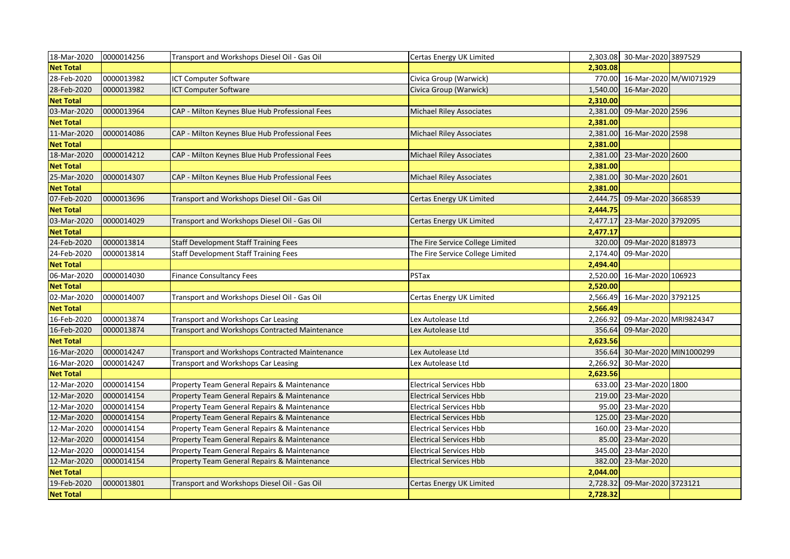| 18-Mar-2020      | 0000014256 | Transport and Workshops Diesel Oil - Gas Oil   | Certas Energy UK Limited         |          | 2,303.08 30-Mar-2020 3897529 |                        |
|------------------|------------|------------------------------------------------|----------------------------------|----------|------------------------------|------------------------|
| <b>Net Total</b> |            |                                                |                                  | 2,303.08 |                              |                        |
| 28-Feb-2020      | 0000013982 | ICT Computer Software                          | Civica Group (Warwick)           | 770.00   | 16-Mar-2020 M/WI071929       |                        |
| 28-Feb-2020      | 0000013982 | <b>ICT Computer Software</b>                   | Civica Group (Warwick)           | 1,540.00 | 16-Mar-2020                  |                        |
| <b>Net Total</b> |            |                                                |                                  | 2,310.00 |                              |                        |
| 03-Mar-2020      | 0000013964 | CAP - Milton Keynes Blue Hub Professional Fees | <b>Michael Riley Associates</b>  | 2,381.00 | 09-Mar-2020 2596             |                        |
| <b>Net Total</b> |            |                                                |                                  | 2,381.00 |                              |                        |
| 11-Mar-2020      | 0000014086 | CAP - Milton Keynes Blue Hub Professional Fees | <b>Michael Riley Associates</b>  | 2,381.00 | 16-Mar-2020 2598             |                        |
| <b>Net Total</b> |            |                                                |                                  | 2,381.00 |                              |                        |
| 18-Mar-2020      | 0000014212 | CAP - Milton Keynes Blue Hub Professional Fees | <b>Michael Riley Associates</b>  | 2,381.00 | 23-Mar-2020 2600             |                        |
| <b>Net Total</b> |            |                                                |                                  | 2,381.00 |                              |                        |
| 25-Mar-2020      | 0000014307 | CAP - Milton Keynes Blue Hub Professional Fees | <b>Michael Riley Associates</b>  | 2,381.00 | 30-Mar-2020 2601             |                        |
| <b>Net Total</b> |            |                                                |                                  | 2,381.00 |                              |                        |
| 07-Feb-2020      | 0000013696 | Transport and Workshops Diesel Oil - Gas Oil   | Certas Energy UK Limited         | 2,444.75 | 09-Mar-2020 3668539          |                        |
| <b>Net Total</b> |            |                                                |                                  | 2,444.75 |                              |                        |
| 03-Mar-2020      | 0000014029 | Transport and Workshops Diesel Oil - Gas Oil   | Certas Energy UK Limited         | 2,477.17 | 23-Mar-2020 3792095          |                        |
| <b>Net Total</b> |            |                                                |                                  | 2,477.17 |                              |                        |
| 24-Feb-2020      | 0000013814 | <b>Staff Development Staff Training Fees</b>   | The Fire Service College Limited | 320.00   | 09-Mar-2020 818973           |                        |
| 24-Feb-2020      | 0000013814 | <b>Staff Development Staff Training Fees</b>   | The Fire Service College Limited | 2,174.40 | 09-Mar-2020                  |                        |
| <b>Net Total</b> |            |                                                |                                  | 2,494.40 |                              |                        |
| 06-Mar-2020      | 0000014030 | <b>Finance Consultancy Fees</b>                | PSTax                            | 2,520.00 | 16-Mar-2020 106923           |                        |
| <b>Net Total</b> |            |                                                |                                  | 2,520.00 |                              |                        |
| 02-Mar-2020      | 0000014007 | Transport and Workshops Diesel Oil - Gas Oil   | Certas Energy UK Limited         | 2,566.49 | 16-Mar-2020 3792125          |                        |
| <b>Net Total</b> |            |                                                |                                  | 2,566.49 |                              |                        |
| 16-Feb-2020      | 0000013874 | Transport and Workshops Car Leasing            | Lex Autolease Ltd                | 2,266.92 | 09-Mar-2020 MRI9824347       |                        |
| 16-Feb-2020      | 0000013874 | Transport and Workshops Contracted Maintenance | Lex Autolease Ltd                | 356.64   | 09-Mar-2020                  |                        |
| <b>Net Total</b> |            |                                                |                                  | 2,623.56 |                              |                        |
| 16-Mar-2020      | 0000014247 | Transport and Workshops Contracted Maintenance | Lex Autolease Ltd                | 356.64   |                              | 30-Mar-2020 MIN1000299 |
| 16-Mar-2020      | 0000014247 | Transport and Workshops Car Leasing            | Lex Autolease Ltd                | 2,266.92 | 30-Mar-2020                  |                        |
| <b>Net Total</b> |            |                                                |                                  | 2,623.56 |                              |                        |
| 12-Mar-2020      | 0000014154 | Property Team General Repairs & Maintenance    | <b>Electrical Services Hbb</b>   |          | 633.00 23-Mar-2020 1800      |                        |
| 12-Mar-2020      | 0000014154 | Property Team General Repairs & Maintenance    | <b>Electrical Services Hbb</b>   | 219.00   | 23-Mar-2020                  |                        |
| 12-Mar-2020      | 0000014154 | Property Team General Repairs & Maintenance    | <b>Electrical Services Hbb</b>   | 95.00    | 23-Mar-2020                  |                        |
| 12-Mar-2020      | 0000014154 | Property Team General Repairs & Maintenance    | <b>Electrical Services Hbb</b>   | 125.00   | 23-Mar-2020                  |                        |
| 12-Mar-2020      | 0000014154 | Property Team General Repairs & Maintenance    | <b>Electrical Services Hbb</b>   | 160.00   | 23-Mar-2020                  |                        |
| 12-Mar-2020      | 0000014154 | Property Team General Repairs & Maintenance    | <b>Electrical Services Hbb</b>   | 85.00    | 23-Mar-2020                  |                        |
| 12-Mar-2020      | 0000014154 | Property Team General Repairs & Maintenance    | <b>Electrical Services Hbb</b>   | 345.00   | 23-Mar-2020                  |                        |
| 12-Mar-2020      | 0000014154 | Property Team General Repairs & Maintenance    | <b>Electrical Services Hbb</b>   | 382.00   | 23-Mar-2020                  |                        |
| <b>Net Total</b> |            |                                                |                                  | 2,044.00 |                              |                        |
| 19-Feb-2020      | 0000013801 | Transport and Workshops Diesel Oil - Gas Oil   | Certas Energy UK Limited         | 2,728.32 | 09-Mar-2020 3723121          |                        |
| <b>Net Total</b> |            |                                                |                                  | 2,728.32 |                              |                        |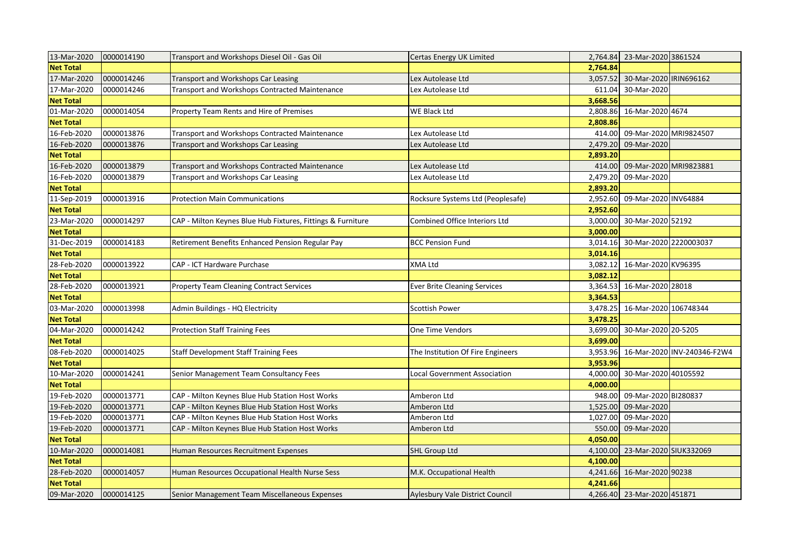| 13-Mar-2020      | 0000014190 | Transport and Workshops Diesel Oil - Gas Oil                | Certas Energy UK Limited               |          | 2,764.84 23-Mar-2020 3861524 |                             |
|------------------|------------|-------------------------------------------------------------|----------------------------------------|----------|------------------------------|-----------------------------|
| <b>Net Total</b> |            |                                                             |                                        | 2,764.84 |                              |                             |
| 17-Mar-2020      | 0000014246 | Transport and Workshops Car Leasing                         | Lex Autolease Ltd                      | 3,057.52 | 30-Mar-2020   IRIN696162     |                             |
| 17-Mar-2020      | 0000014246 | Transport and Workshops Contracted Maintenance              | Lex Autolease Ltd                      | 611.04   | 30-Mar-2020                  |                             |
| <b>Net Total</b> |            |                                                             |                                        | 3,668.56 |                              |                             |
| 01-Mar-2020      | 0000014054 | Property Team Rents and Hire of Premises                    | WE Black Ltd                           | 2,808.86 | 16-Mar-2020 4674             |                             |
| <b>Net Total</b> |            |                                                             |                                        | 2,808.86 |                              |                             |
| 16-Feb-2020      | 0000013876 | Transport and Workshops Contracted Maintenance              | Lex Autolease Ltd                      | 414.00   | 09-Mar-2020 MRI9824507       |                             |
| 16-Feb-2020      | 0000013876 | Transport and Workshops Car Leasing                         | Lex Autolease Ltd                      | 2,479.20 | 09-Mar-2020                  |                             |
| <b>Net Total</b> |            |                                                             |                                        | 2,893.20 |                              |                             |
| 16-Feb-2020      | 0000013879 | Transport and Workshops Contracted Maintenance              | Lex Autolease Ltd                      | 414.00   | 09-Mar-2020 MRI9823881       |                             |
| 16-Feb-2020      | 0000013879 | Transport and Workshops Car Leasing                         | Lex Autolease Ltd                      | 2,479.20 | 09-Mar-2020                  |                             |
| <b>Net Total</b> |            |                                                             |                                        | 2,893.20 |                              |                             |
| 11-Sep-2019      | 0000013916 | <b>Protection Main Communications</b>                       | Rocksure Systems Ltd (Peoplesafe)      | 2,952.60 | 09-Mar-2020 INV64884         |                             |
| <b>Net Total</b> |            |                                                             |                                        | 2,952.60 |                              |                             |
| 23-Mar-2020      | 0000014297 | CAP - Milton Keynes Blue Hub Fixtures, Fittings & Furniture | Combined Office Interiors Ltd          | 3,000.00 | 30-Mar-2020 52192            |                             |
| <b>Net Total</b> |            |                                                             |                                        | 3,000.00 |                              |                             |
| 31-Dec-2019      | 0000014183 | Retirement Benefits Enhanced Pension Regular Pay            | <b>BCC Pension Fund</b>                | 3,014.16 | 30-Mar-2020 2220003037       |                             |
| <b>Net Total</b> |            |                                                             |                                        | 3,014.16 |                              |                             |
| 28-Feb-2020      | 0000013922 | CAP - ICT Hardware Purchase                                 | <b>XMA Ltd</b>                         |          | 3,082.12 16-Mar-2020 KV96395 |                             |
| <b>Net Total</b> |            |                                                             |                                        | 3,082.12 |                              |                             |
| 28-Feb-2020      | 0000013921 | <b>Property Team Cleaning Contract Services</b>             | <b>Ever Brite Cleaning Services</b>    |          | 3,364.53 16-Mar-2020 28018   |                             |
| <b>Net Total</b> |            |                                                             |                                        | 3,364.53 |                              |                             |
| 03-Mar-2020      | 0000013998 | Admin Buildings - HQ Electricity                            | Scottish Power                         | 3,478.25 | 16-Mar-2020 106748344        |                             |
| <b>Net Total</b> |            |                                                             |                                        | 3,478.25 |                              |                             |
| 04-Mar-2020      | 0000014242 | Protection Staff Training Fees                              | One Time Vendors                       | 3,699.00 | 30-Mar-2020 20-5205          |                             |
| <b>Net Total</b> |            |                                                             |                                        | 3,699.00 |                              |                             |
| 08-Feb-2020      | 0000014025 | <b>Staff Development Staff Training Fees</b>                | The Institution Of Fire Engineers      | 3,953.96 |                              | 16-Mar-2020 INV-240346-F2W4 |
| <b>Net Total</b> |            |                                                             |                                        | 3,953.96 |                              |                             |
| 10-Mar-2020      | 0000014241 | Senior Management Team Consultancy Fees                     | Local Government Association           | 4,000.00 | 30-Mar-2020 40105592         |                             |
| <b>Net Total</b> |            |                                                             |                                        | 4,000.00 |                              |                             |
| 19-Feb-2020      | 0000013771 | CAP - Milton Keynes Blue Hub Station Host Works             | Amberon Ltd                            | 948.00   | 09-Mar-2020 BI280837         |                             |
| 19-Feb-2020      | 0000013771 | CAP - Milton Keynes Blue Hub Station Host Works             | Amberon Ltd                            | 1,525.00 | 09-Mar-2020                  |                             |
| 19-Feb-2020      | 0000013771 | CAP - Milton Keynes Blue Hub Station Host Works             | Amberon Ltd                            | 1,027.00 | 09-Mar-2020                  |                             |
| 19-Feb-2020      | 0000013771 | CAP - Milton Keynes Blue Hub Station Host Works             | Amberon Ltd                            | 550.00   | 09-Mar-2020                  |                             |
| <b>Net Total</b> |            |                                                             |                                        | 4,050.00 |                              |                             |
| 10-Mar-2020      | 0000014081 | Human Resources Recruitment Expenses                        | <b>SHL Group Ltd</b>                   | 4,100.00 | 23-Mar-2020 SIUK332069       |                             |
| <b>Net Total</b> |            |                                                             |                                        | 4,100.00 |                              |                             |
| 28-Feb-2020      | 0000014057 | Human Resources Occupational Health Nurse Sess              | M.K. Occupational Health               | 4,241.66 | 16-Mar-2020 90238            |                             |
| <b>Net Total</b> |            |                                                             |                                        | 4,241.66 |                              |                             |
| 09-Mar-2020      | 0000014125 | Senior Management Team Miscellaneous Expenses               | <b>Aylesbury Vale District Council</b> |          | 4,266.40 23-Mar-2020 451871  |                             |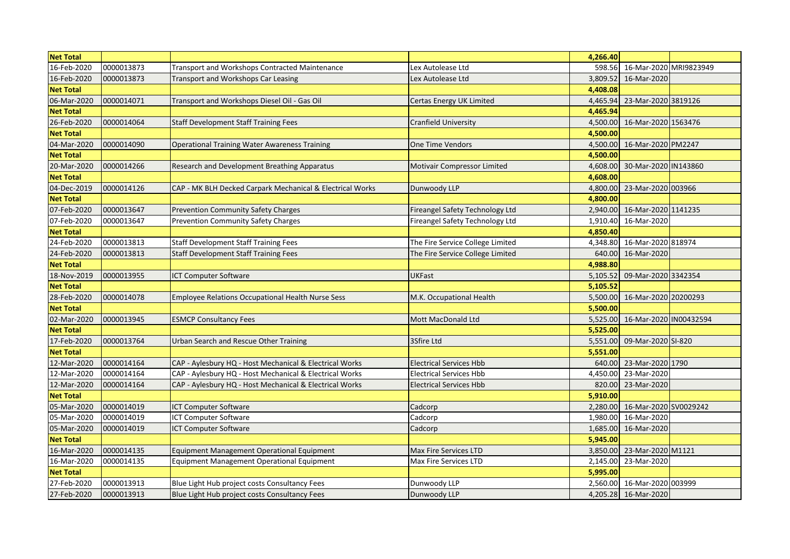| <b>Net Total</b> |            |                                                           |                                    | 4,266.40 |                        |  |
|------------------|------------|-----------------------------------------------------------|------------------------------------|----------|------------------------|--|
| 16-Feb-2020      | 0000013873 | Transport and Workshops Contracted Maintenance            | Lex Autolease Ltd                  | 598.56   | 16-Mar-2020 MRI9823949 |  |
| 16-Feb-2020      | 0000013873 | Transport and Workshops Car Leasing                       | Lex Autolease Ltd                  | 3,809.52 | 16-Mar-2020            |  |
| <b>Net Total</b> |            |                                                           |                                    | 4,408.08 |                        |  |
| 06-Mar-2020      | 0000014071 | Transport and Workshops Diesel Oil - Gas Oil              | Certas Energy UK Limited           | 4.465.94 | 23-Mar-2020 3819126    |  |
| <b>Net Total</b> |            |                                                           |                                    | 4,465.94 |                        |  |
| 26-Feb-2020      | 0000014064 | <b>Staff Development Staff Training Fees</b>              | <b>Cranfield University</b>        | 4,500.00 | 16-Mar-2020 1563476    |  |
| <b>Net Total</b> |            |                                                           |                                    | 4,500.00 |                        |  |
| 04-Mar-2020      | 0000014090 | <b>Operational Training Water Awareness Training</b>      | <b>One Time Vendors</b>            | 4,500.00 | 16-Mar-2020 PM2247     |  |
| <b>Net Total</b> |            |                                                           |                                    | 4,500.00 |                        |  |
| 20-Mar-2020      | 0000014266 | Research and Development Breathing Apparatus              | <b>Motivair Compressor Limited</b> | 4,608.00 | 30-Mar-2020 IN143860   |  |
| <b>Net Total</b> |            |                                                           |                                    | 4,608.00 |                        |  |
| 04-Dec-2019      | 0000014126 | CAP - MK BLH Decked Carpark Mechanical & Electrical Works | Dunwoody LLP                       | 4,800.00 | 23-Mar-2020 003966     |  |
| <b>Net Total</b> |            |                                                           |                                    | 4,800.00 |                        |  |
| 07-Feb-2020      | 0000013647 | Prevention Community Safety Charges                       | Fireangel Safety Technology Ltd    | 2,940.00 | 16-Mar-2020 1141235    |  |
| 07-Feb-2020      | 0000013647 | <b>Prevention Community Safety Charges</b>                | Fireangel Safety Technology Ltd    | 1,910.40 | 16-Mar-2020            |  |
| <b>Net Total</b> |            |                                                           |                                    | 4,850.40 |                        |  |
| 24-Feb-2020      | 0000013813 | <b>Staff Development Staff Training Fees</b>              | The Fire Service College Limited   | 4.348.80 | 16-Mar-2020 818974     |  |
| 24-Feb-2020      | 0000013813 | <b>Staff Development Staff Training Fees</b>              | The Fire Service College Limited   | 640.00   | 16-Mar-2020            |  |
| <b>Net Total</b> |            |                                                           |                                    | 4,988.80 |                        |  |
| 18-Nov-2019      | 0000013955 | <b>ICT Computer Software</b>                              | <b>UKFast</b>                      | 5,105.52 | 09-Mar-2020 3342354    |  |
| <b>Net Total</b> |            |                                                           |                                    | 5,105.52 |                        |  |
| 28-Feb-2020      | 0000014078 | <b>Employee Relations Occupational Health Nurse Sess</b>  | M.K. Occupational Health           | 5,500.00 | 16-Mar-2020 20200293   |  |
| <b>Net Total</b> |            |                                                           |                                    | 5,500.00 |                        |  |
| 02-Mar-2020      | 0000013945 | <b>ESMCP Consultancy Fees</b>                             | Mott MacDonald Ltd                 | 5,525.00 | 16-Mar-2020 IN00432594 |  |
| <b>Net Total</b> |            |                                                           |                                    | 5,525.00 |                        |  |
| 17-Feb-2020      | 0000013764 | Urban Search and Rescue Other Training                    | 3Sfire Ltd                         | 5,551.00 | 09-Mar-2020 SI-820     |  |
| <b>Net Total</b> |            |                                                           |                                    | 5,551.00 |                        |  |
| 12-Mar-2020      | 0000014164 | CAP - Aylesbury HQ - Host Mechanical & Electrical Works   | <b>Electrical Services Hbb</b>     | 640.00   | 23-Mar-2020 1790       |  |
| 12-Mar-2020      | 0000014164 | CAP - Aylesbury HQ - Host Mechanical & Electrical Works   | <b>Electrical Services Hbb</b>     | 4,450.00 | 23-Mar-2020            |  |
| 12-Mar-2020      | 0000014164 | CAP - Aylesbury HQ - Host Mechanical & Electrical Works   | <b>Electrical Services Hbb</b>     | 820.00   | 23-Mar-2020            |  |
| <b>Net Total</b> |            |                                                           |                                    | 5,910.00 |                        |  |
| 05-Mar-2020      | 0000014019 | <b>ICT Computer Software</b>                              | Cadcorp                            | 2,280.00 | 16-Mar-2020 SV0029242  |  |
| 05-Mar-2020      | 0000014019 | <b>ICT Computer Software</b>                              | Cadcorp                            | 1,980.00 | 16-Mar-2020            |  |
| 05-Mar-2020      | 0000014019 | <b>ICT Computer Software</b>                              | Cadcorp                            | 1,685.00 | 16-Mar-2020            |  |
| <b>Net Total</b> |            |                                                           |                                    | 5,945.00 |                        |  |
| 16-Mar-2020      | 0000014135 | Equipment Management Operational Equipment                | <b>Max Fire Services LTD</b>       | 3,850.00 | 23-Mar-2020 M1121      |  |
| 16-Mar-2020      | 0000014135 | Equipment Management Operational Equipment                | Max Fire Services LTD              | 2,145.00 | 23-Mar-2020            |  |
| <b>Net Total</b> |            |                                                           |                                    | 5,995.00 |                        |  |
| 27-Feb-2020      | 0000013913 | Blue Light Hub project costs Consultancy Fees             | Dunwoody LLP                       | 2,560.00 | 16-Mar-2020 003999     |  |
| 27-Feb-2020      | 0000013913 | Blue Light Hub project costs Consultancy Fees             | Dunwoody LLP                       |          | 4,205.28 16-Mar-2020   |  |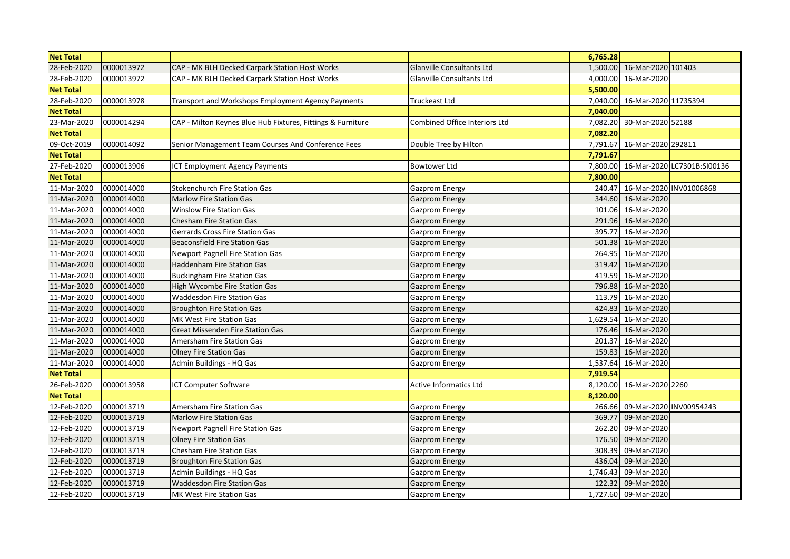| <b>Net Total</b> |            |                                                             |                                  | 6,765.28 |                      |                             |
|------------------|------------|-------------------------------------------------------------|----------------------------------|----------|----------------------|-----------------------------|
| 28-Feb-2020      | 0000013972 | CAP - MK BLH Decked Carpark Station Host Works              | <b>Glanville Consultants Ltd</b> | 1,500.00 | 16-Mar-2020 101403   |                             |
| 28-Feb-2020      | 0000013972 | CAP - MK BLH Decked Carpark Station Host Works              | <b>Glanville Consultants Ltd</b> | 4,000.00 | 16-Mar-2020          |                             |
| <b>Net Total</b> |            |                                                             |                                  | 5,500.00 |                      |                             |
| 28-Feb-2020      | 0000013978 | Transport and Workshops Employment Agency Payments          | Truckeast Ltd                    | 7,040.00 | 16-Mar-2020 11735394 |                             |
| <b>Net Total</b> |            |                                                             |                                  | 7,040.00 |                      |                             |
| 23-Mar-2020      | 0000014294 | CAP - Milton Keynes Blue Hub Fixtures, Fittings & Furniture | Combined Office Interiors Ltd    | 7,082.20 | 30-Mar-2020 52188    |                             |
| <b>Net Total</b> |            |                                                             |                                  | 7,082.20 |                      |                             |
| 09-Oct-2019      | 0000014092 | Senior Management Team Courses And Conference Fees          | Double Tree by Hilton            | 7,791.67 | 16-Mar-2020 292811   |                             |
| <b>Net Total</b> |            |                                                             |                                  | 7,791.67 |                      |                             |
| 27-Feb-2020      | 0000013906 | <b>ICT Employment Agency Payments</b>                       | <b>Bowtower Ltd</b>              | 7,800.00 |                      | 16-Mar-2020 LC7301B:SI00136 |
| <b>Net Total</b> |            |                                                             |                                  | 7,800.00 |                      |                             |
| 11-Mar-2020      | 0000014000 | <b>Stokenchurch Fire Station Gas</b>                        | <b>Gazprom Energy</b>            | 240.47   |                      | 16-Mar-2020 INV01006868     |
| 11-Mar-2020      | 0000014000 | <b>Marlow Fire Station Gas</b>                              | <b>Gazprom Energy</b>            | 344.60   | 16-Mar-2020          |                             |
| 11-Mar-2020      | 0000014000 | <b>Winslow Fire Station Gas</b>                             | <b>Gazprom Energy</b>            | 101.06   | 16-Mar-2020          |                             |
| 11-Mar-2020      | 0000014000 | Chesham Fire Station Gas                                    | <b>Gazprom Energy</b>            | 291.96   | 16-Mar-2020          |                             |
| 11-Mar-2020      | 0000014000 | Gerrards Cross Fire Station Gas                             | <b>Gazprom Energy</b>            | 395.77   | 16-Mar-2020          |                             |
| 11-Mar-2020      | 0000014000 | <b>Beaconsfield Fire Station Gas</b>                        | Gazprom Energy                   | 501.38   | 16-Mar-2020          |                             |
| 11-Mar-2020      | 0000014000 | Newport Pagnell Fire Station Gas                            | Gazprom Energy                   | 264.95   | 16-Mar-2020          |                             |
| 11-Mar-2020      | 0000014000 | <b>Haddenham Fire Station Gas</b>                           | Gazprom Energy                   |          | 319.42 16-Mar-2020   |                             |
| 11-Mar-2020      | 0000014000 | Buckingham Fire Station Gas                                 | <b>Gazprom Energy</b>            | 419.59   | 16-Mar-2020          |                             |
| 11-Mar-2020      | 0000014000 | High Wycombe Fire Station Gas                               | <b>Gazprom Energy</b>            | 796.88   | 16-Mar-2020          |                             |
| 11-Mar-2020      | 0000014000 | <b>Waddesdon Fire Station Gas</b>                           | Gazprom Energy                   | 113.79   | 16-Mar-2020          |                             |
| 11-Mar-2020      | 0000014000 | <b>Broughton Fire Station Gas</b>                           | Gazprom Energy                   | 424.83   | 16-Mar-2020          |                             |
| 11-Mar-2020      | 0000014000 | <b>MK West Fire Station Gas</b>                             | Gazprom Energy                   | 1,629.54 | 16-Mar-2020          |                             |
| 11-Mar-2020      | 0000014000 | <b>Great Missenden Fire Station Gas</b>                     | <b>Gazprom Energy</b>            | 176.46   | 16-Mar-2020          |                             |
| 11-Mar-2020      | 0000014000 | Amersham Fire Station Gas                                   | <b>Gazprom Energy</b>            | 201.37   | 16-Mar-2020          |                             |
| 11-Mar-2020      | 0000014000 | <b>Olney Fire Station Gas</b>                               | <b>Gazprom Energy</b>            |          | 159.83 16-Mar-2020   |                             |
| 11-Mar-2020      | 0000014000 | Admin Buildings - HQ Gas                                    | Gazprom Energy                   | 1,537.64 | 16-Mar-2020          |                             |
| <b>Net Total</b> |            |                                                             |                                  | 7,919.54 |                      |                             |
| 26-Feb-2020      | 0000013958 | ICT Computer Software                                       | <b>Active Informatics Ltd</b>    | 8,120.00 | 16-Mar-2020 2260     |                             |
| <b>Net Total</b> |            |                                                             |                                  | 8,120.00 |                      |                             |
| 12-Feb-2020      | 0000013719 | Amersham Fire Station Gas                                   | <b>Gazprom Energy</b>            | 266.66   |                      | 09-Mar-2020 INV00954243     |
| 12-Feb-2020      | 0000013719 | <b>Marlow Fire Station Gas</b>                              | <b>Gazprom Energy</b>            | 369.77   | 09-Mar-2020          |                             |
| 12-Feb-2020      | 0000013719 | Newport Pagnell Fire Station Gas                            | <b>Gazprom Energy</b>            | 262.20   | 09-Mar-2020          |                             |
| 12-Feb-2020      | 0000013719 | <b>Olney Fire Station Gas</b>                               | Gazprom Energy                   | 176.50   | 09-Mar-2020          |                             |
| 12-Feb-2020      | 0000013719 | Chesham Fire Station Gas                                    | Gazprom Energy                   | 308.39   | 09-Mar-2020          |                             |
| 12-Feb-2020      | 0000013719 | <b>Broughton Fire Station Gas</b>                           | <b>Gazprom Energy</b>            | 436.04   | 09-Mar-2020          |                             |
| 12-Feb-2020      | 0000013719 | Admin Buildings - HQ Gas                                    | Gazprom Energy                   | 1,746.43 | 09-Mar-2020          |                             |
| 12-Feb-2020      | 0000013719 | <b>Waddesdon Fire Station Gas</b>                           | <b>Gazprom Energy</b>            | 122.32   | 09-Mar-2020          |                             |
| 12-Feb-2020      | 0000013719 | <b>MK West Fire Station Gas</b>                             | <b>Gazprom Energy</b>            |          | 1,727.60 09-Mar-2020 |                             |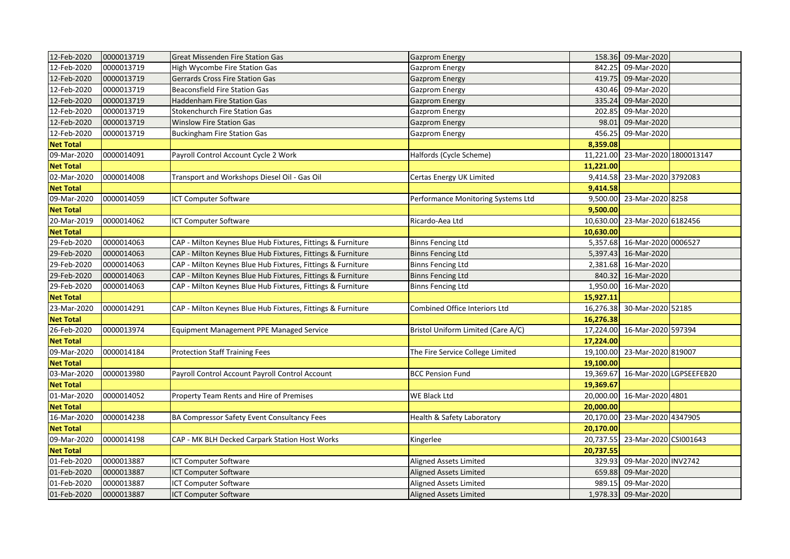| 158.36 09-Mar-2020<br>0000013719<br>12-Feb-2020<br>842.25<br>09-Mar-2020<br><b>High Wycombe Fire Station Gas</b><br>Gazprom Energy<br>12-Feb-2020<br>0000013719<br>09-Mar-2020<br>419.75<br><b>Gerrards Cross Fire Station Gas</b><br><b>Gazprom Energy</b><br>12-Feb-2020<br>0000013719<br>09-Mar-2020<br><b>Beaconsfield Fire Station Gas</b><br>430.46<br><b>Gazprom Energy</b><br>12-Feb-2020<br>0000013719<br>Haddenham Fire Station Gas<br>335.24<br>09-Mar-2020<br><b>Gazprom Energy</b><br>12-Feb-2020<br>0000013719<br>09-Mar-2020<br><b>Stokenchurch Fire Station Gas</b><br>202.85<br><b>Gazprom Energy</b><br>12-Feb-2020<br>0000013719<br>98.01<br>09-Mar-2020<br><b>Winslow Fire Station Gas</b><br>Gazprom Energy<br>12-Feb-2020<br>456.25<br>0000013719<br>09-Mar-2020<br>Buckingham Fire Station Gas<br>Gazprom Energy<br>8,359.08<br><b>Net Total</b><br>23-Mar-2020 1800013147<br>09-Mar-2020<br>0000014091<br>Payroll Control Account Cycle 2 Work<br>11,221.00<br>Halfords (Cycle Scheme)<br>11,221.00<br><b>Net Total</b><br>02-Mar-2020<br>9,414.58<br>23-Mar-2020 3792083<br>0000014008<br>Transport and Workshops Diesel Oil - Gas Oil<br>Certas Energy UK Limited<br><b>Net Total</b><br>9,414.58<br>09-Mar-2020<br>0000014059<br>23-Mar-2020 8258<br><b>ICT Computer Software</b><br>Performance Monitoring Systems Ltd<br>9,500.00<br><b>Net Total</b><br>9,500.00<br>23-Mar-2020 6182456<br>20-Mar-2019<br>0000014062<br>10,630.00<br><b>ICT Computer Software</b><br>Ricardo-Aea Ltd<br><b>Net Total</b><br>10,630.00<br>29-Feb-2020<br>16-Mar-2020 0006527<br>0000014063<br>CAP - Milton Keynes Blue Hub Fixtures, Fittings & Furniture<br>5,357.68<br><b>Binns Fencing Ltd</b><br>29-Feb-2020<br>0000014063<br>CAP - Milton Keynes Blue Hub Fixtures, Fittings & Furniture<br>16-Mar-2020<br><b>Binns Fencing Ltd</b><br>5,397.43<br>29-Feb-2020<br>0000014063<br>CAP - Milton Keynes Blue Hub Fixtures, Fittings & Furniture<br>16-Mar-2020<br><b>Binns Fencing Ltd</b><br>2,381.68<br>29-Feb-2020<br>0000014063<br>16-Mar-2020<br>CAP - Milton Keynes Blue Hub Fixtures, Fittings & Furniture<br><b>Binns Fencing Ltd</b><br>840.32<br>29-Feb-2020<br>0000014063<br>CAP - Milton Keynes Blue Hub Fixtures, Fittings & Furniture<br>1,950.00<br>16-Mar-2020<br><b>Binns Fencing Ltd</b><br><b>Net Total</b><br>15,927.11<br>30-Mar-2020 52185<br>23-Mar-2020<br>CAP - Milton Keynes Blue Hub Fixtures, Fittings & Furniture<br>Combined Office Interiors Ltd<br>0000014291<br>16,276.38<br><b>Net Total</b><br>16,276.38<br>26-Feb-2020<br>0000013974<br>17,224.00<br>16-Mar-2020 597394<br>Equipment Management PPE Managed Service<br>Bristol Uniform Limited (Care A/C)<br><b>Net Total</b><br>17,224.00<br>09-Mar-2020<br>0000014184<br><b>Protection Staff Training Fees</b><br>The Fire Service College Limited<br>19,100.00<br>23-Mar-2020 819007<br><b>Net Total</b><br>19,100.00<br>16-Mar-2020 LGPSEEFEB20<br>03-Mar-2020<br>0000013980<br>19,369.67<br>Payroll Control Account Payroll Control Account<br><b>BCC Pension Fund</b><br>19,369.67<br><b>Net Total</b><br>01-Mar-2020<br>16-Mar-2020 4801<br>0000014052<br>Property Team Rents and Hire of Premises<br>20,000.00<br>WE Black Ltd<br><b>Net Total</b><br>20,000.00<br>16-Mar-2020<br>0000014238<br>20,170.00<br>23-Mar-2020 4347905<br><b>BA Compressor Safety Event Consultancy Fees</b><br>Health & Safety Laboratory<br>20,170.00<br><b>Net Total</b><br>23-Mar-2020 CSI001643<br>09-Mar-2020<br>0000014198<br>20,737.55<br>CAP - MK BLH Decked Carpark Station Host Works<br>Kingerlee<br><b>Net Total</b><br>20,737.55<br>01-Feb-2020<br>09-Mar-2020 INV2742<br>0000013887<br>329.93<br>ICT Computer Software<br>Aligned Assets Limited<br>01-Feb-2020<br>0000013887<br>ICT Computer Software<br><b>Aligned Assets Limited</b><br>09-Mar-2020<br>659.88<br>ICT Computer Software<br>01-Feb-2020<br>0000013887<br>Aligned Assets Limited<br>989.15<br>09-Mar-2020<br>01-Feb-2020<br>0000013887<br><b>Aligned Assets Limited</b><br>1,978.33 09-Mar-2020<br>ICT Computer Software |             |            |                                  |                       |  |  |
|---------------------------------------------------------------------------------------------------------------------------------------------------------------------------------------------------------------------------------------------------------------------------------------------------------------------------------------------------------------------------------------------------------------------------------------------------------------------------------------------------------------------------------------------------------------------------------------------------------------------------------------------------------------------------------------------------------------------------------------------------------------------------------------------------------------------------------------------------------------------------------------------------------------------------------------------------------------------------------------------------------------------------------------------------------------------------------------------------------------------------------------------------------------------------------------------------------------------------------------------------------------------------------------------------------------------------------------------------------------------------------------------------------------------------------------------------------------------------------------------------------------------------------------------------------------------------------------------------------------------------------------------------------------------------------------------------------------------------------------------------------------------------------------------------------------------------------------------------------------------------------------------------------------------------------------------------------------------------------------------------------------------------------------------------------------------------------------------------------------------------------------------------------------------------------------------------------------------------------------------------------------------------------------------------------------------------------------------------------------------------------------------------------------------------------------------------------------------------------------------------------------------------------------------------------------------------------------------------------------------------------------------------------------------------------------------------------------------------------------------------------------------------------------------------------------------------------------------------------------------------------------------------------------------------------------------------------------------------------------------------------------------------------------------------------------------------------------------------------------------------------------------------------------------------------------------------------------------------------------------------------------------------------------------------------------------------------------------------------------------------------------------------------------------------------------------------------------------------------------------------------------------------------------------------------------------------------------------------------------------------------------------------------------------------------------------------------------------------------------------------------------------------------------------------------------------------------------------------------------------------------------------------------------------------------------------------------------------------------------------------------------------------------------------------------------------------------------------|-------------|------------|----------------------------------|-----------------------|--|--|
|                                                                                                                                                                                                                                                                                                                                                                                                                                                                                                                                                                                                                                                                                                                                                                                                                                                                                                                                                                                                                                                                                                                                                                                                                                                                                                                                                                                                                                                                                                                                                                                                                                                                                                                                                                                                                                                                                                                                                                                                                                                                                                                                                                                                                                                                                                                                                                                                                                                                                                                                                                                                                                                                                                                                                                                                                                                                                                                                                                                                                                                                                                                                                                                                                                                                                                                                                                                                                                                                                                                                                                                                                                                                                                                                                                                                                                                                                                                                                                                                                                                                                             | 12-Feb-2020 | 0000013719 | Great Missenden Fire Station Gas | <b>Gazprom Energy</b> |  |  |
|                                                                                                                                                                                                                                                                                                                                                                                                                                                                                                                                                                                                                                                                                                                                                                                                                                                                                                                                                                                                                                                                                                                                                                                                                                                                                                                                                                                                                                                                                                                                                                                                                                                                                                                                                                                                                                                                                                                                                                                                                                                                                                                                                                                                                                                                                                                                                                                                                                                                                                                                                                                                                                                                                                                                                                                                                                                                                                                                                                                                                                                                                                                                                                                                                                                                                                                                                                                                                                                                                                                                                                                                                                                                                                                                                                                                                                                                                                                                                                                                                                                                                             |             |            |                                  |                       |  |  |
|                                                                                                                                                                                                                                                                                                                                                                                                                                                                                                                                                                                                                                                                                                                                                                                                                                                                                                                                                                                                                                                                                                                                                                                                                                                                                                                                                                                                                                                                                                                                                                                                                                                                                                                                                                                                                                                                                                                                                                                                                                                                                                                                                                                                                                                                                                                                                                                                                                                                                                                                                                                                                                                                                                                                                                                                                                                                                                                                                                                                                                                                                                                                                                                                                                                                                                                                                                                                                                                                                                                                                                                                                                                                                                                                                                                                                                                                                                                                                                                                                                                                                             |             |            |                                  |                       |  |  |
|                                                                                                                                                                                                                                                                                                                                                                                                                                                                                                                                                                                                                                                                                                                                                                                                                                                                                                                                                                                                                                                                                                                                                                                                                                                                                                                                                                                                                                                                                                                                                                                                                                                                                                                                                                                                                                                                                                                                                                                                                                                                                                                                                                                                                                                                                                                                                                                                                                                                                                                                                                                                                                                                                                                                                                                                                                                                                                                                                                                                                                                                                                                                                                                                                                                                                                                                                                                                                                                                                                                                                                                                                                                                                                                                                                                                                                                                                                                                                                                                                                                                                             |             |            |                                  |                       |  |  |
|                                                                                                                                                                                                                                                                                                                                                                                                                                                                                                                                                                                                                                                                                                                                                                                                                                                                                                                                                                                                                                                                                                                                                                                                                                                                                                                                                                                                                                                                                                                                                                                                                                                                                                                                                                                                                                                                                                                                                                                                                                                                                                                                                                                                                                                                                                                                                                                                                                                                                                                                                                                                                                                                                                                                                                                                                                                                                                                                                                                                                                                                                                                                                                                                                                                                                                                                                                                                                                                                                                                                                                                                                                                                                                                                                                                                                                                                                                                                                                                                                                                                                             |             |            |                                  |                       |  |  |
|                                                                                                                                                                                                                                                                                                                                                                                                                                                                                                                                                                                                                                                                                                                                                                                                                                                                                                                                                                                                                                                                                                                                                                                                                                                                                                                                                                                                                                                                                                                                                                                                                                                                                                                                                                                                                                                                                                                                                                                                                                                                                                                                                                                                                                                                                                                                                                                                                                                                                                                                                                                                                                                                                                                                                                                                                                                                                                                                                                                                                                                                                                                                                                                                                                                                                                                                                                                                                                                                                                                                                                                                                                                                                                                                                                                                                                                                                                                                                                                                                                                                                             |             |            |                                  |                       |  |  |
|                                                                                                                                                                                                                                                                                                                                                                                                                                                                                                                                                                                                                                                                                                                                                                                                                                                                                                                                                                                                                                                                                                                                                                                                                                                                                                                                                                                                                                                                                                                                                                                                                                                                                                                                                                                                                                                                                                                                                                                                                                                                                                                                                                                                                                                                                                                                                                                                                                                                                                                                                                                                                                                                                                                                                                                                                                                                                                                                                                                                                                                                                                                                                                                                                                                                                                                                                                                                                                                                                                                                                                                                                                                                                                                                                                                                                                                                                                                                                                                                                                                                                             |             |            |                                  |                       |  |  |
|                                                                                                                                                                                                                                                                                                                                                                                                                                                                                                                                                                                                                                                                                                                                                                                                                                                                                                                                                                                                                                                                                                                                                                                                                                                                                                                                                                                                                                                                                                                                                                                                                                                                                                                                                                                                                                                                                                                                                                                                                                                                                                                                                                                                                                                                                                                                                                                                                                                                                                                                                                                                                                                                                                                                                                                                                                                                                                                                                                                                                                                                                                                                                                                                                                                                                                                                                                                                                                                                                                                                                                                                                                                                                                                                                                                                                                                                                                                                                                                                                                                                                             |             |            |                                  |                       |  |  |
|                                                                                                                                                                                                                                                                                                                                                                                                                                                                                                                                                                                                                                                                                                                                                                                                                                                                                                                                                                                                                                                                                                                                                                                                                                                                                                                                                                                                                                                                                                                                                                                                                                                                                                                                                                                                                                                                                                                                                                                                                                                                                                                                                                                                                                                                                                                                                                                                                                                                                                                                                                                                                                                                                                                                                                                                                                                                                                                                                                                                                                                                                                                                                                                                                                                                                                                                                                                                                                                                                                                                                                                                                                                                                                                                                                                                                                                                                                                                                                                                                                                                                             |             |            |                                  |                       |  |  |
|                                                                                                                                                                                                                                                                                                                                                                                                                                                                                                                                                                                                                                                                                                                                                                                                                                                                                                                                                                                                                                                                                                                                                                                                                                                                                                                                                                                                                                                                                                                                                                                                                                                                                                                                                                                                                                                                                                                                                                                                                                                                                                                                                                                                                                                                                                                                                                                                                                                                                                                                                                                                                                                                                                                                                                                                                                                                                                                                                                                                                                                                                                                                                                                                                                                                                                                                                                                                                                                                                                                                                                                                                                                                                                                                                                                                                                                                                                                                                                                                                                                                                             |             |            |                                  |                       |  |  |
|                                                                                                                                                                                                                                                                                                                                                                                                                                                                                                                                                                                                                                                                                                                                                                                                                                                                                                                                                                                                                                                                                                                                                                                                                                                                                                                                                                                                                                                                                                                                                                                                                                                                                                                                                                                                                                                                                                                                                                                                                                                                                                                                                                                                                                                                                                                                                                                                                                                                                                                                                                                                                                                                                                                                                                                                                                                                                                                                                                                                                                                                                                                                                                                                                                                                                                                                                                                                                                                                                                                                                                                                                                                                                                                                                                                                                                                                                                                                                                                                                                                                                             |             |            |                                  |                       |  |  |
|                                                                                                                                                                                                                                                                                                                                                                                                                                                                                                                                                                                                                                                                                                                                                                                                                                                                                                                                                                                                                                                                                                                                                                                                                                                                                                                                                                                                                                                                                                                                                                                                                                                                                                                                                                                                                                                                                                                                                                                                                                                                                                                                                                                                                                                                                                                                                                                                                                                                                                                                                                                                                                                                                                                                                                                                                                                                                                                                                                                                                                                                                                                                                                                                                                                                                                                                                                                                                                                                                                                                                                                                                                                                                                                                                                                                                                                                                                                                                                                                                                                                                             |             |            |                                  |                       |  |  |
|                                                                                                                                                                                                                                                                                                                                                                                                                                                                                                                                                                                                                                                                                                                                                                                                                                                                                                                                                                                                                                                                                                                                                                                                                                                                                                                                                                                                                                                                                                                                                                                                                                                                                                                                                                                                                                                                                                                                                                                                                                                                                                                                                                                                                                                                                                                                                                                                                                                                                                                                                                                                                                                                                                                                                                                                                                                                                                                                                                                                                                                                                                                                                                                                                                                                                                                                                                                                                                                                                                                                                                                                                                                                                                                                                                                                                                                                                                                                                                                                                                                                                             |             |            |                                  |                       |  |  |
|                                                                                                                                                                                                                                                                                                                                                                                                                                                                                                                                                                                                                                                                                                                                                                                                                                                                                                                                                                                                                                                                                                                                                                                                                                                                                                                                                                                                                                                                                                                                                                                                                                                                                                                                                                                                                                                                                                                                                                                                                                                                                                                                                                                                                                                                                                                                                                                                                                                                                                                                                                                                                                                                                                                                                                                                                                                                                                                                                                                                                                                                                                                                                                                                                                                                                                                                                                                                                                                                                                                                                                                                                                                                                                                                                                                                                                                                                                                                                                                                                                                                                             |             |            |                                  |                       |  |  |
|                                                                                                                                                                                                                                                                                                                                                                                                                                                                                                                                                                                                                                                                                                                                                                                                                                                                                                                                                                                                                                                                                                                                                                                                                                                                                                                                                                                                                                                                                                                                                                                                                                                                                                                                                                                                                                                                                                                                                                                                                                                                                                                                                                                                                                                                                                                                                                                                                                                                                                                                                                                                                                                                                                                                                                                                                                                                                                                                                                                                                                                                                                                                                                                                                                                                                                                                                                                                                                                                                                                                                                                                                                                                                                                                                                                                                                                                                                                                                                                                                                                                                             |             |            |                                  |                       |  |  |
|                                                                                                                                                                                                                                                                                                                                                                                                                                                                                                                                                                                                                                                                                                                                                                                                                                                                                                                                                                                                                                                                                                                                                                                                                                                                                                                                                                                                                                                                                                                                                                                                                                                                                                                                                                                                                                                                                                                                                                                                                                                                                                                                                                                                                                                                                                                                                                                                                                                                                                                                                                                                                                                                                                                                                                                                                                                                                                                                                                                                                                                                                                                                                                                                                                                                                                                                                                                                                                                                                                                                                                                                                                                                                                                                                                                                                                                                                                                                                                                                                                                                                             |             |            |                                  |                       |  |  |
|                                                                                                                                                                                                                                                                                                                                                                                                                                                                                                                                                                                                                                                                                                                                                                                                                                                                                                                                                                                                                                                                                                                                                                                                                                                                                                                                                                                                                                                                                                                                                                                                                                                                                                                                                                                                                                                                                                                                                                                                                                                                                                                                                                                                                                                                                                                                                                                                                                                                                                                                                                                                                                                                                                                                                                                                                                                                                                                                                                                                                                                                                                                                                                                                                                                                                                                                                                                                                                                                                                                                                                                                                                                                                                                                                                                                                                                                                                                                                                                                                                                                                             |             |            |                                  |                       |  |  |
|                                                                                                                                                                                                                                                                                                                                                                                                                                                                                                                                                                                                                                                                                                                                                                                                                                                                                                                                                                                                                                                                                                                                                                                                                                                                                                                                                                                                                                                                                                                                                                                                                                                                                                                                                                                                                                                                                                                                                                                                                                                                                                                                                                                                                                                                                                                                                                                                                                                                                                                                                                                                                                                                                                                                                                                                                                                                                                                                                                                                                                                                                                                                                                                                                                                                                                                                                                                                                                                                                                                                                                                                                                                                                                                                                                                                                                                                                                                                                                                                                                                                                             |             |            |                                  |                       |  |  |
|                                                                                                                                                                                                                                                                                                                                                                                                                                                                                                                                                                                                                                                                                                                                                                                                                                                                                                                                                                                                                                                                                                                                                                                                                                                                                                                                                                                                                                                                                                                                                                                                                                                                                                                                                                                                                                                                                                                                                                                                                                                                                                                                                                                                                                                                                                                                                                                                                                                                                                                                                                                                                                                                                                                                                                                                                                                                                                                                                                                                                                                                                                                                                                                                                                                                                                                                                                                                                                                                                                                                                                                                                                                                                                                                                                                                                                                                                                                                                                                                                                                                                             |             |            |                                  |                       |  |  |
|                                                                                                                                                                                                                                                                                                                                                                                                                                                                                                                                                                                                                                                                                                                                                                                                                                                                                                                                                                                                                                                                                                                                                                                                                                                                                                                                                                                                                                                                                                                                                                                                                                                                                                                                                                                                                                                                                                                                                                                                                                                                                                                                                                                                                                                                                                                                                                                                                                                                                                                                                                                                                                                                                                                                                                                                                                                                                                                                                                                                                                                                                                                                                                                                                                                                                                                                                                                                                                                                                                                                                                                                                                                                                                                                                                                                                                                                                                                                                                                                                                                                                             |             |            |                                  |                       |  |  |
|                                                                                                                                                                                                                                                                                                                                                                                                                                                                                                                                                                                                                                                                                                                                                                                                                                                                                                                                                                                                                                                                                                                                                                                                                                                                                                                                                                                                                                                                                                                                                                                                                                                                                                                                                                                                                                                                                                                                                                                                                                                                                                                                                                                                                                                                                                                                                                                                                                                                                                                                                                                                                                                                                                                                                                                                                                                                                                                                                                                                                                                                                                                                                                                                                                                                                                                                                                                                                                                                                                                                                                                                                                                                                                                                                                                                                                                                                                                                                                                                                                                                                             |             |            |                                  |                       |  |  |
|                                                                                                                                                                                                                                                                                                                                                                                                                                                                                                                                                                                                                                                                                                                                                                                                                                                                                                                                                                                                                                                                                                                                                                                                                                                                                                                                                                                                                                                                                                                                                                                                                                                                                                                                                                                                                                                                                                                                                                                                                                                                                                                                                                                                                                                                                                                                                                                                                                                                                                                                                                                                                                                                                                                                                                                                                                                                                                                                                                                                                                                                                                                                                                                                                                                                                                                                                                                                                                                                                                                                                                                                                                                                                                                                                                                                                                                                                                                                                                                                                                                                                             |             |            |                                  |                       |  |  |
|                                                                                                                                                                                                                                                                                                                                                                                                                                                                                                                                                                                                                                                                                                                                                                                                                                                                                                                                                                                                                                                                                                                                                                                                                                                                                                                                                                                                                                                                                                                                                                                                                                                                                                                                                                                                                                                                                                                                                                                                                                                                                                                                                                                                                                                                                                                                                                                                                                                                                                                                                                                                                                                                                                                                                                                                                                                                                                                                                                                                                                                                                                                                                                                                                                                                                                                                                                                                                                                                                                                                                                                                                                                                                                                                                                                                                                                                                                                                                                                                                                                                                             |             |            |                                  |                       |  |  |
|                                                                                                                                                                                                                                                                                                                                                                                                                                                                                                                                                                                                                                                                                                                                                                                                                                                                                                                                                                                                                                                                                                                                                                                                                                                                                                                                                                                                                                                                                                                                                                                                                                                                                                                                                                                                                                                                                                                                                                                                                                                                                                                                                                                                                                                                                                                                                                                                                                                                                                                                                                                                                                                                                                                                                                                                                                                                                                                                                                                                                                                                                                                                                                                                                                                                                                                                                                                                                                                                                                                                                                                                                                                                                                                                                                                                                                                                                                                                                                                                                                                                                             |             |            |                                  |                       |  |  |
|                                                                                                                                                                                                                                                                                                                                                                                                                                                                                                                                                                                                                                                                                                                                                                                                                                                                                                                                                                                                                                                                                                                                                                                                                                                                                                                                                                                                                                                                                                                                                                                                                                                                                                                                                                                                                                                                                                                                                                                                                                                                                                                                                                                                                                                                                                                                                                                                                                                                                                                                                                                                                                                                                                                                                                                                                                                                                                                                                                                                                                                                                                                                                                                                                                                                                                                                                                                                                                                                                                                                                                                                                                                                                                                                                                                                                                                                                                                                                                                                                                                                                             |             |            |                                  |                       |  |  |
|                                                                                                                                                                                                                                                                                                                                                                                                                                                                                                                                                                                                                                                                                                                                                                                                                                                                                                                                                                                                                                                                                                                                                                                                                                                                                                                                                                                                                                                                                                                                                                                                                                                                                                                                                                                                                                                                                                                                                                                                                                                                                                                                                                                                                                                                                                                                                                                                                                                                                                                                                                                                                                                                                                                                                                                                                                                                                                                                                                                                                                                                                                                                                                                                                                                                                                                                                                                                                                                                                                                                                                                                                                                                                                                                                                                                                                                                                                                                                                                                                                                                                             |             |            |                                  |                       |  |  |
|                                                                                                                                                                                                                                                                                                                                                                                                                                                                                                                                                                                                                                                                                                                                                                                                                                                                                                                                                                                                                                                                                                                                                                                                                                                                                                                                                                                                                                                                                                                                                                                                                                                                                                                                                                                                                                                                                                                                                                                                                                                                                                                                                                                                                                                                                                                                                                                                                                                                                                                                                                                                                                                                                                                                                                                                                                                                                                                                                                                                                                                                                                                                                                                                                                                                                                                                                                                                                                                                                                                                                                                                                                                                                                                                                                                                                                                                                                                                                                                                                                                                                             |             |            |                                  |                       |  |  |
|                                                                                                                                                                                                                                                                                                                                                                                                                                                                                                                                                                                                                                                                                                                                                                                                                                                                                                                                                                                                                                                                                                                                                                                                                                                                                                                                                                                                                                                                                                                                                                                                                                                                                                                                                                                                                                                                                                                                                                                                                                                                                                                                                                                                                                                                                                                                                                                                                                                                                                                                                                                                                                                                                                                                                                                                                                                                                                                                                                                                                                                                                                                                                                                                                                                                                                                                                                                                                                                                                                                                                                                                                                                                                                                                                                                                                                                                                                                                                                                                                                                                                             |             |            |                                  |                       |  |  |
|                                                                                                                                                                                                                                                                                                                                                                                                                                                                                                                                                                                                                                                                                                                                                                                                                                                                                                                                                                                                                                                                                                                                                                                                                                                                                                                                                                                                                                                                                                                                                                                                                                                                                                                                                                                                                                                                                                                                                                                                                                                                                                                                                                                                                                                                                                                                                                                                                                                                                                                                                                                                                                                                                                                                                                                                                                                                                                                                                                                                                                                                                                                                                                                                                                                                                                                                                                                                                                                                                                                                                                                                                                                                                                                                                                                                                                                                                                                                                                                                                                                                                             |             |            |                                  |                       |  |  |
|                                                                                                                                                                                                                                                                                                                                                                                                                                                                                                                                                                                                                                                                                                                                                                                                                                                                                                                                                                                                                                                                                                                                                                                                                                                                                                                                                                                                                                                                                                                                                                                                                                                                                                                                                                                                                                                                                                                                                                                                                                                                                                                                                                                                                                                                                                                                                                                                                                                                                                                                                                                                                                                                                                                                                                                                                                                                                                                                                                                                                                                                                                                                                                                                                                                                                                                                                                                                                                                                                                                                                                                                                                                                                                                                                                                                                                                                                                                                                                                                                                                                                             |             |            |                                  |                       |  |  |
|                                                                                                                                                                                                                                                                                                                                                                                                                                                                                                                                                                                                                                                                                                                                                                                                                                                                                                                                                                                                                                                                                                                                                                                                                                                                                                                                                                                                                                                                                                                                                                                                                                                                                                                                                                                                                                                                                                                                                                                                                                                                                                                                                                                                                                                                                                                                                                                                                                                                                                                                                                                                                                                                                                                                                                                                                                                                                                                                                                                                                                                                                                                                                                                                                                                                                                                                                                                                                                                                                                                                                                                                                                                                                                                                                                                                                                                                                                                                                                                                                                                                                             |             |            |                                  |                       |  |  |
|                                                                                                                                                                                                                                                                                                                                                                                                                                                                                                                                                                                                                                                                                                                                                                                                                                                                                                                                                                                                                                                                                                                                                                                                                                                                                                                                                                                                                                                                                                                                                                                                                                                                                                                                                                                                                                                                                                                                                                                                                                                                                                                                                                                                                                                                                                                                                                                                                                                                                                                                                                                                                                                                                                                                                                                                                                                                                                                                                                                                                                                                                                                                                                                                                                                                                                                                                                                                                                                                                                                                                                                                                                                                                                                                                                                                                                                                                                                                                                                                                                                                                             |             |            |                                  |                       |  |  |
|                                                                                                                                                                                                                                                                                                                                                                                                                                                                                                                                                                                                                                                                                                                                                                                                                                                                                                                                                                                                                                                                                                                                                                                                                                                                                                                                                                                                                                                                                                                                                                                                                                                                                                                                                                                                                                                                                                                                                                                                                                                                                                                                                                                                                                                                                                                                                                                                                                                                                                                                                                                                                                                                                                                                                                                                                                                                                                                                                                                                                                                                                                                                                                                                                                                                                                                                                                                                                                                                                                                                                                                                                                                                                                                                                                                                                                                                                                                                                                                                                                                                                             |             |            |                                  |                       |  |  |
|                                                                                                                                                                                                                                                                                                                                                                                                                                                                                                                                                                                                                                                                                                                                                                                                                                                                                                                                                                                                                                                                                                                                                                                                                                                                                                                                                                                                                                                                                                                                                                                                                                                                                                                                                                                                                                                                                                                                                                                                                                                                                                                                                                                                                                                                                                                                                                                                                                                                                                                                                                                                                                                                                                                                                                                                                                                                                                                                                                                                                                                                                                                                                                                                                                                                                                                                                                                                                                                                                                                                                                                                                                                                                                                                                                                                                                                                                                                                                                                                                                                                                             |             |            |                                  |                       |  |  |
|                                                                                                                                                                                                                                                                                                                                                                                                                                                                                                                                                                                                                                                                                                                                                                                                                                                                                                                                                                                                                                                                                                                                                                                                                                                                                                                                                                                                                                                                                                                                                                                                                                                                                                                                                                                                                                                                                                                                                                                                                                                                                                                                                                                                                                                                                                                                                                                                                                                                                                                                                                                                                                                                                                                                                                                                                                                                                                                                                                                                                                                                                                                                                                                                                                                                                                                                                                                                                                                                                                                                                                                                                                                                                                                                                                                                                                                                                                                                                                                                                                                                                             |             |            |                                  |                       |  |  |
|                                                                                                                                                                                                                                                                                                                                                                                                                                                                                                                                                                                                                                                                                                                                                                                                                                                                                                                                                                                                                                                                                                                                                                                                                                                                                                                                                                                                                                                                                                                                                                                                                                                                                                                                                                                                                                                                                                                                                                                                                                                                                                                                                                                                                                                                                                                                                                                                                                                                                                                                                                                                                                                                                                                                                                                                                                                                                                                                                                                                                                                                                                                                                                                                                                                                                                                                                                                                                                                                                                                                                                                                                                                                                                                                                                                                                                                                                                                                                                                                                                                                                             |             |            |                                  |                       |  |  |
|                                                                                                                                                                                                                                                                                                                                                                                                                                                                                                                                                                                                                                                                                                                                                                                                                                                                                                                                                                                                                                                                                                                                                                                                                                                                                                                                                                                                                                                                                                                                                                                                                                                                                                                                                                                                                                                                                                                                                                                                                                                                                                                                                                                                                                                                                                                                                                                                                                                                                                                                                                                                                                                                                                                                                                                                                                                                                                                                                                                                                                                                                                                                                                                                                                                                                                                                                                                                                                                                                                                                                                                                                                                                                                                                                                                                                                                                                                                                                                                                                                                                                             |             |            |                                  |                       |  |  |
|                                                                                                                                                                                                                                                                                                                                                                                                                                                                                                                                                                                                                                                                                                                                                                                                                                                                                                                                                                                                                                                                                                                                                                                                                                                                                                                                                                                                                                                                                                                                                                                                                                                                                                                                                                                                                                                                                                                                                                                                                                                                                                                                                                                                                                                                                                                                                                                                                                                                                                                                                                                                                                                                                                                                                                                                                                                                                                                                                                                                                                                                                                                                                                                                                                                                                                                                                                                                                                                                                                                                                                                                                                                                                                                                                                                                                                                                                                                                                                                                                                                                                             |             |            |                                  |                       |  |  |
|                                                                                                                                                                                                                                                                                                                                                                                                                                                                                                                                                                                                                                                                                                                                                                                                                                                                                                                                                                                                                                                                                                                                                                                                                                                                                                                                                                                                                                                                                                                                                                                                                                                                                                                                                                                                                                                                                                                                                                                                                                                                                                                                                                                                                                                                                                                                                                                                                                                                                                                                                                                                                                                                                                                                                                                                                                                                                                                                                                                                                                                                                                                                                                                                                                                                                                                                                                                                                                                                                                                                                                                                                                                                                                                                                                                                                                                                                                                                                                                                                                                                                             |             |            |                                  |                       |  |  |
|                                                                                                                                                                                                                                                                                                                                                                                                                                                                                                                                                                                                                                                                                                                                                                                                                                                                                                                                                                                                                                                                                                                                                                                                                                                                                                                                                                                                                                                                                                                                                                                                                                                                                                                                                                                                                                                                                                                                                                                                                                                                                                                                                                                                                                                                                                                                                                                                                                                                                                                                                                                                                                                                                                                                                                                                                                                                                                                                                                                                                                                                                                                                                                                                                                                                                                                                                                                                                                                                                                                                                                                                                                                                                                                                                                                                                                                                                                                                                                                                                                                                                             |             |            |                                  |                       |  |  |
|                                                                                                                                                                                                                                                                                                                                                                                                                                                                                                                                                                                                                                                                                                                                                                                                                                                                                                                                                                                                                                                                                                                                                                                                                                                                                                                                                                                                                                                                                                                                                                                                                                                                                                                                                                                                                                                                                                                                                                                                                                                                                                                                                                                                                                                                                                                                                                                                                                                                                                                                                                                                                                                                                                                                                                                                                                                                                                                                                                                                                                                                                                                                                                                                                                                                                                                                                                                                                                                                                                                                                                                                                                                                                                                                                                                                                                                                                                                                                                                                                                                                                             |             |            |                                  |                       |  |  |